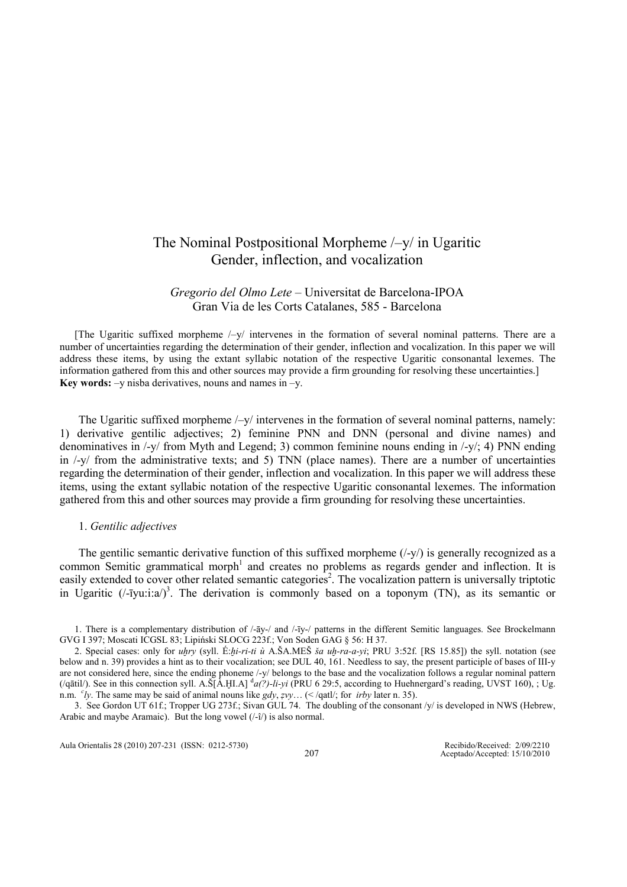# The Nominal Postpositional Morpheme /–y/ in Ugaritic Gender, inflection, and vocalization

## Gregorio del Olmo Lete – Universitat de Barcelona-IPOA Gran Via de les Corts Catalanes, 585 - Barcelona

[The Ugaritic suffixed morpheme  $\frac{1}{2}$  intervenes in the formation of several nominal patterns. There are a number of uncertainties regarding the determination of their gender, inflection and vocalization. In this paper we will address these items, by using the extant syllabic notation of the respective Ugaritic consonantal lexemes. The information gathered from this and other sources may provide a firm grounding for resolving these uncertainties.] Key words:  $-y$  nisba derivatives, nouns and names in  $-y$ .

The Ugaritic suffixed morpheme /–y/ intervenes in the formation of several nominal patterns, namely: 1) derivative gentilic adjectives; 2) feminine PNN and DNN (personal and divine names) and denominatives in  $\frac{1}{v}$  from Myth and Legend; 3) common feminine nouns ending in  $\frac{1}{v}$ ; 4) PNN ending in /-y/ from the administrative texts; and 5) TNN (place names). There are a number of uncertainties regarding the determination of their gender, inflection and vocalization. In this paper we will address these items, using the extant syllabic notation of the respective Ugaritic consonantal lexemes. The information gathered from this and other sources may provide a firm grounding for resolving these uncertainties.

### 1. Gentilic adjectives

The gentilic semantic derivative function of this suffixed morpheme  $(1-y)$  is generally recognized as a common Semitic grammatical morph<sup>1</sup> and creates no problems as regards gender and inflection. It is easily extended to cover other related semantic categories<sup>2</sup>. The vocalization pattern is universally triptotic in Ugaritic ( $\ell$ -īyu:i:a $\ell$ )<sup>3</sup>. The derivation is commonly based on a toponym (TN), as its semantic or

<sup>1.</sup> There is a complementary distribution of /-āy-/ and /-īy-/ patterns in the different Semitic languages. See Brockelmann GVG I 397; Moscati ICGSL 83; Lipiński SLOCG 223f.; Von Soden GAG § 56: H 37.

<sup>2.</sup> Special cases: only for uhry (syll. É:hi-ri-ti ù A.ŠA.MEŠ ša uh-ra-a-yi; PRU 3:52f. [RS 15.85]) the syll. notation (see below and n. 39) provides a hint as to their vocalization; see DUL 40, 161. Needless to say, the present participle of bases of III-y are not considered here, since the ending phoneme /-y/ belongs to the base and the vocalization follows a regular nominal pattern (/qātil/). See in this connection syll. A.Š[A.HI.A]  $d_{a}(?)$ -li-yi (PRU 6 29:5, according to Huehnergard's reading, UVST 160), ; Ug. n.m.  $cly$ . The same may be said of animal nouns like gdy, zvy... (</qatl/; for *irby* later n. 35).

<sup>3.</sup> See Gordon UT 61f.; Tropper UG 273f.; Sivan GUL 74. The doubling of the consonant /y/ is developed in NWS (Hebrew, Arabic and maybe Aramaic). But the long vowel (/-î/) is also normal.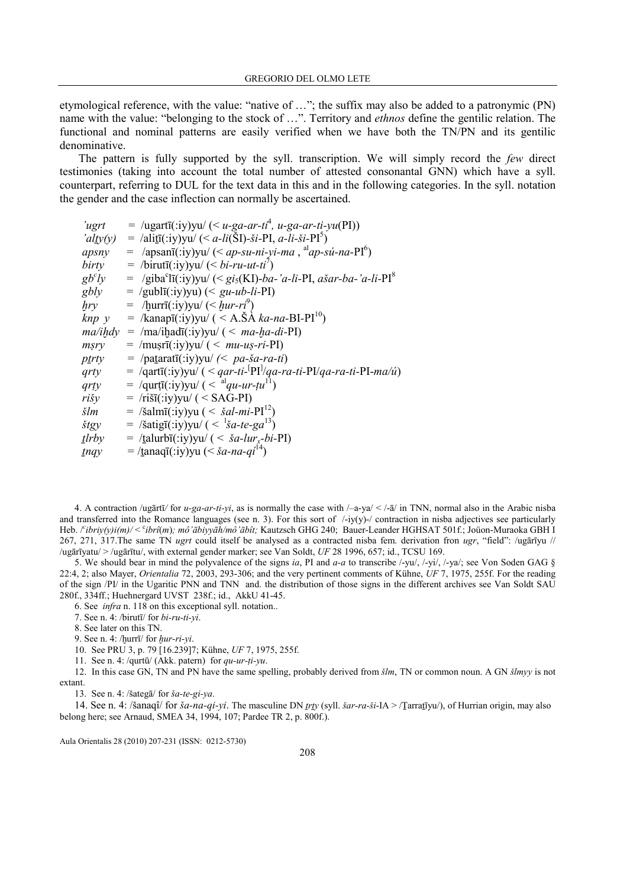etymological reference, with the value: "native of …"; the suffix may also be added to a patronymic (PN) name with the value: "belonging to the stock of ...". Territory and *ethnos* define the gentilic relation. The functional and nominal patterns are easily verified when we have both the TN/PN and its gentilic denominative.

The pattern is fully supported by the syll. transcription. We will simply record the few direct testimonies (taking into account the total number of attested consonantal GNN) which have a syll. counterpart, referring to DUL for the text data in this and in the following categories. In the syll. notation the gender and the case inflection can normally be ascertained.

'ugrt =  $\langle \text{ugartī}(\text{div}) \text{yu} \rangle$  (< u-ga-ar-ti<sup>4</sup>, u-ga-ar-ti-yu(PI)) 'alty(y) = /alit $\overline{f}$ (:iy)yu/(< a-li( $\overline{S}I$ )-ši-PI, a-li-ši-PI<sup>5</sup>)  $apsny = /apsanī(iy) yu / (*ap-su-ni-yi-ma*, <sup>al</sup>ap-su-na-PI<sup>6</sup>)$  $\vec{b}$ irty = /birutī(:iy)yu/ (< bi-ru-ut-ti<sup>7</sup>)  $gb<sup>c</sup>l$  $\dot{ly}$  = /giba<sup>c</sup>lī(:iy)yu/ (< gi<sub>s</sub>(KI)-*ba-'a-li-PI*, *ašar-ba-'a-li-PI*<sup>8</sup>  $gbly = /gubl\bar{i}$ (:iy)yu) (<  $gu-ub-li-PI$ )  $hry = /lgurr\bar{1}(iyy)$ yu/  $(*hur-ri*<sup>9</sup>)$  $knp$  y = /kanapī(:iy)yu/ ( < A.Š $\overrightarrow{A}$  ka-na-BI-PI<sup>10</sup>)  $ma/ihdy = /ma/ihadī(:iy)$ yu/ (<  $ma-ha-di-PI$ )  $msry = /musrī(iy)yu/ (< *mu-us-ri*-PI)$ ptrty = /patarat $\overline{u}$ (:iy)yu/ (< pa-ša-ra-ti)  $qrty = \sqrt{qart}$  $(iy)$ yu $/$  ( <  $qar-ti$ - $\text{P1}/qa-ra-ti$ - $\text{P1}/qa-ra-ti$ - $\text{P1}-ma/u$ )  $qrty = /qurt\bar{I}(\text{.iy})\text{.}$   $\left(\frac{1}{q}q_t - \mu\bar{I}\right)$  $rišy = /rišī(iy)vu / (-SAG-PI)$  $\check{s}lm = / \check{s}alm\bar{u}$ (:iy)yu ( <  $\check{s}al-mi-PI^{12}$ )  $\delta t gy = / \delta \text{atig}(\text{iv})$ yu/ $\left( \langle \delta u - t e - g a^{13} \rangle \right)$  $t$ lrby = /talurbī(:iy)yu/ (< *ša-lur<sub>x</sub>-bi-PI*)  $\frac{y}{y} = \frac{1}{\tan a}$  =  $\frac{y}{y} = \frac{1}{\tan a}$  =  $\frac{y}{y} = \frac{z}{a}$ 

4. A contraction /ugārtī/ for u-ga-ar-ti-yi, as is normally the case with  $\frac{-a-ya}{\leq a-ya}$  /- $\frac{a}{a}$  in TNN, normal also in the Arabic nisba and transferred into the Romance languages (see n. 3). For this sort of  $\frac{\text{log}(y)}{\text{log}(y)}$  contraction in nisba adjectives see particularly Heb. /<sup>c</sup>ibriy(y)i(m)/ < cibrî(m); mô'ābiyyāh/mô'ābît; Kautzsch GHG 240; Bauer-Leander HGHSAT 501f.; Joüon-Muraoka GBH I 267, 271, 317.The same TN ugrt could itself be analysed as a contracted nisba fem. derivation fron ugr, "field": /ugārīyu //  $\mu$ gārīyatu/ > /ugārītu/, with external gender marker; see Van Soldt, UF 28 1996, 657; id., TCSU 169.

5. We should bear in mind the polyvalence of the signs ia, PI and a-a to transcribe  $\frac{1}{\sqrt{2}}$ ,  $\frac{1}{\sqrt{2}}$ ,  $\frac{1}{\sqrt{2}}$ , see Von Soden GAG § 22:4, 2; also Mayer, Orientalia 72, 2003, 293-306; and the very pertinent comments of Kühne, UF 7, 1975, 255f. For the reading of the sign /PI/ in the Ugaritic PNN and TNN and. the distribution of those signs in the different archives see Van Soldt SAU 280f., 334ff.; Huehnergard UVST 238f.; id., AkkU 41-45.

6. See infra n. 118 on this exceptional syll. notation..

7. See n. 4: /birutī/ for bi-ru-ti-yi.

8. See later on this TN.

9. See n. 4: / $\frac{h}{w}$  for  $\frac{h}{w}$ -ri-yi.

10. See PRU 3, p. 79 [16.239]7; Kühne, UF 7, 1975, 255f.

11. See n. 4: /qurtū/ (Akk. patern) for  $qu-ur-ti-yu$ .

12. In this case GN, TN and PN have the same spelling, probably derived from  $\zeta/m$ , TN or common noun. A GN  $\zeta/m_{yy}$  is not extant.

13. See n. 4: /šategā/ for ša-te-gi-ya.

14. See n. 4: /šanaqî/ for *ša-na-qi-yi*. The masculine DN *trty* (syll. *šar-ra-ši-IA* > /Ţarratīyu/), of Hurrian origin, may also belong here; see Arnaud, SMEA 34, 1994, 107; Pardee TR 2, p. 800f.).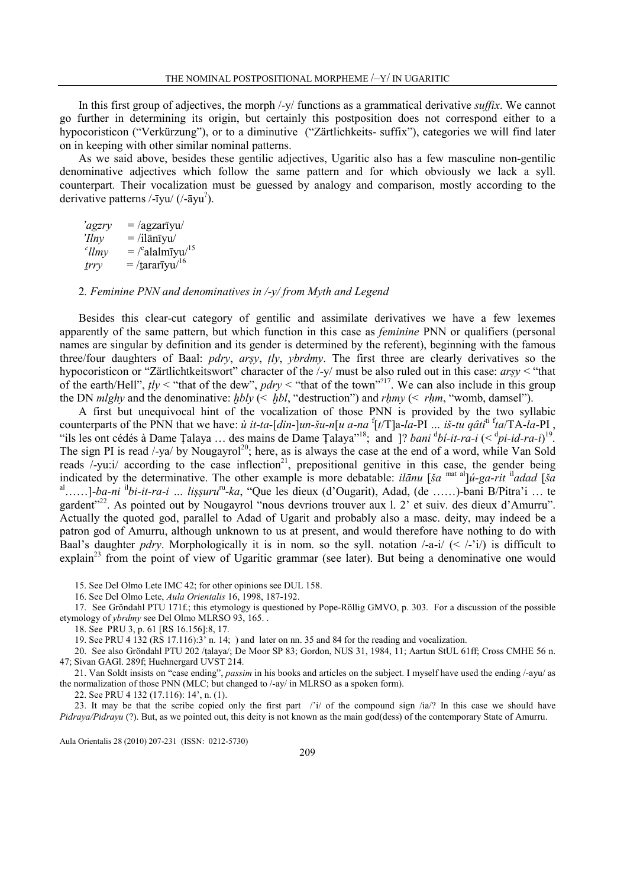In this first group of adjectives, the morph /-y/ functions as a grammatical derivative suffix. We cannot go further in determining its origin, but certainly this postposition does not correspond either to a hypocoristicon ("Verkürzung"), or to a diminutive ("Zärtlichkeits- suffix"), categories we will find later on in keeping with other similar nominal patterns.

As we said above, besides these gentilic adjectives, Ugaritic also has a few masculine non-gentilic denominative adjectives which follow the same pattern and for which obviously we lack a syll. counterpart. Their vocalization must be guessed by analogy and comparison, mostly according to the derivative patterns /-īyu/ (/-āyu? ).

 $\gamma_{\text{agzrv}} = \sqrt{\text{agzariy}}$  $'llnv = /il\overline{a}n\overline{v}vu/$  $\ell$ llmy = /  $\cdot$ alalmīyu/ $^{15}$  $\frac{trry}{\sqrt{16}} = \frac{t \arctan(16)}{2}$ 

2. Feminine PNN and denominatives in  $\frac{y}{y}$  from Myth and Legend

Besides this clear-cut category of gentilic and assimilate derivatives we have a few lexemes apparently of the same pattern, but which function in this case as feminine PNN or qualifiers (personal names are singular by definition and its gender is determined by the referent), beginning with the famous three/four daughters of Baal: pdry, arṣy, ṭly, ybrdmy. The first three are clearly derivatives so the hypocoristicon or "Zärtlichtkeitswort" character of the /-y/ must be also ruled out in this case: arṣy < "that of the earth/Hell",  $tly <$  "that of the dew", pdry  $\lt$  "that of the town"?<sup>17</sup>. We can also include in this group the DN *mlghy* and the denominative:  $hbly$  (<  $hbl$ , "destruction") and  $rhmy$  (<  $rhm$ , "womb, damsel").

A first but unequivocal hint of the vocalization of those PNN is provided by the two syllabic counterparts of the PNN that we have:  $\dot{u}$  it-ta-[din-]un-šu-n[u a-na  ${}^f[t/T]$ a-la-PI ... iš-tu qâti<sup>ti f</sup>ta/TA-la-PI, "ils les ont cédés à Dame Țalaya ... des mains de Dame Țalaya"<sup>18</sup>; and ]? *bani*  $\frac{d}{dt}$ *i*-it-ra-i (<  $\frac{d}{dt}$ *i*-id-ra-i)<sup>19</sup>. The sign PI is read  $\frac{1}{2}$  /-ya/ by Nougayrol<sup>20</sup>; here, as is always the case at the end of a word, while Van Sold reads  $/$ -yu:i $/$  according to the case inflection<sup>21</sup>, prepositional genitive in this case, the gender being indicated by the determinative. The other example is more debatable: *ilānu* [ša <sup>mat al</sup>]ú-ga-rit <sup>il</sup>adad [ša <sup>al</sup>……]-ba-ni <sup>il</sup>bi-it-ra-i … lissuru<sup>ru</sup>-ka, "Que les dieux (d'Ougarit), Adad, (de ……)-bani B/Pitra'i … te gardent<sup>"22</sup>. As pointed out by Nougayrol "nous devrions trouver aux l. 2<sup>'</sup> et suiv. des dieux d'Amurru". Actually the quoted god, parallel to Adad of Ugarit and probably also a masc. deity, may indeed be a patron god of Amurru, although unknown to us at present, and would therefore have nothing to do with Baal's daughter *pdry*. Morphologically it is in nom. so the syll. notation  $\frac{1}{4}$  (<  $\frac{1}{2}$  is difficult to explain<sup>23</sup> from the point of view of Ugaritic grammar (see later). But being a denominative one would

15. See Del Olmo Lete IMC 42; for other opinions see DUL 158.

16. See Del Olmo Lete, Aula Orientalis 16, 1998, 187-192.

17. See Gröndahl PTU 171f.; this etymology is questioned by Pope-Röllig GMVO, p. 303. For a discussion of the possible etymology of ybrdmy see Del Olmo MLRSO 93, 165. .

18. See PRU 3, p. 61 [RS 16.156]:8, 17.

19. See PRU 4 132 (RS 17.116):3' n. 14; ) and later on nn. 35 and 84 for the reading and vocalization.

20. See also Gröndahl PTU 202 /ṭalaya/; De Moor SP 83; Gordon, NUS 31, 1984, 11; Aartun StUL 61ff; Cross CMHE 56 n. 47; Sivan GAGl. 289f; Huehnergard UVST 214.

21. Van Soldt insists on "case ending", passim in his books and articles on the subject. I myself have used the ending /-ayu/ as the normalization of those PNN (MLC; but changed to /-ay/ in MLRSO as a spoken form).

22. See PRU 4 132 (17.116): 14', n. (1).

23. It may be that the scribe copied only the first part /'i/ of the compound sign /ia/? In this case we should have Pidraya/Pidrayu (?). But, as we pointed out, this deity is not known as the main god(dess) of the contemporary State of Amurru.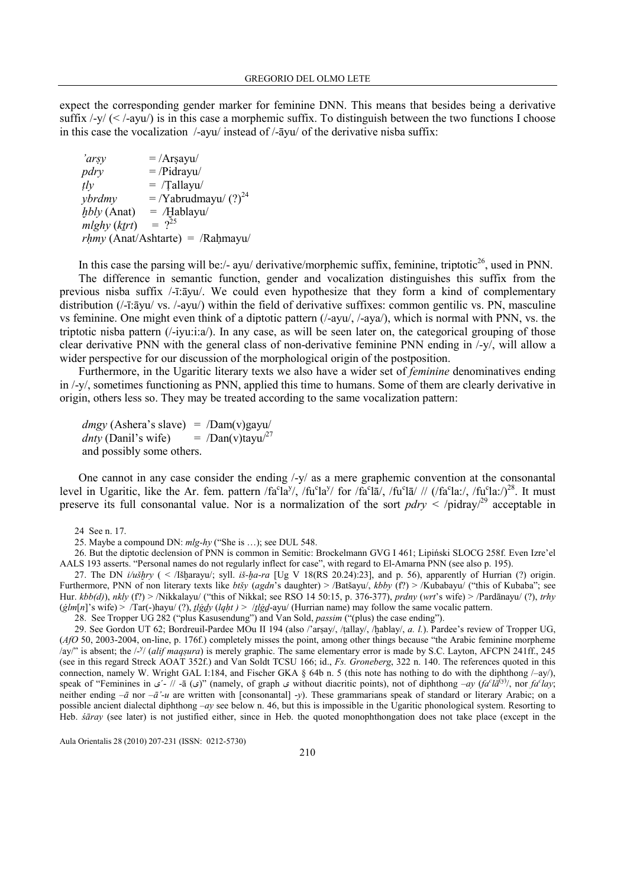expect the corresponding gender marker for feminine DNN. This means that besides being a derivative suffix  $\frac{1}{\sqrt{2}}$  (<  $\frac{1}{\sqrt{2}}$  is in this case a morphemic suffix. To distinguish between the two functions I choose in this case the vocalization /-ayu/ instead of /-āyu/ of the derivative nisba suffix:

| 'arsy        | $=$ /Arsayu/                          |
|--------------|---------------------------------------|
| pdry         | $=$ /Pidrayu/                         |
| $t\bar{t}$   | $=$ /Tallayu/                         |
| ybrdmy       | $=$ /Yabrudmayu/ $(?)^{24}$           |
| hbly (Anat)  | $=$ /Hablayu/                         |
| mlghy (ktrt) | $= 2^{25}$                            |
|              | $r h m y$ (Anat/Ashtarte) = /Rahmayu/ |

In this case the parsing will be:/- ayu/ derivative/morphemic suffix, feminine, triptotic<sup>26</sup>, used in PNN. The difference in semantic function, gender and vocalization distinguishes this suffix from the previous nisba suffix /-ī:āyu/. We could even hypothesize that they form a kind of complementary distribution ( $/$ -ī: $\bar{a}$ yu/ vs.  $/$ -ayu/) within the field of derivative suffixes: common gentilic vs. PN, masculine vs feminine. One might even think of a diptotic pattern (/-ayu/, /-aya/), which is normal with PNN, vs. the triptotic nisba pattern  $(\frac{1}{1}i\alpha)^2$ . In any case, as will be seen later on, the categorical grouping of those clear derivative PNN with the general class of non-derivative feminine PNN ending in /-y/, will allow a wider perspective for our discussion of the morphological origin of the postposition.

Furthermore, in the Ugaritic literary texts we also have a wider set of *feminine* denominatives ending in /-y/, sometimes functioning as PNN, applied this time to humans. Some of them are clearly derivative in origin, others less so. They may be treated according to the same vocalization pattern:

 $d$ mgy (Ashera's slave) = /Dam(v)gayu/ dnty (Danil's wife)  $=$   $\sqrt{Dan(v)}t$ ayu $\sqrt{27}$ and possibly some others.

One cannot in any case consider the ending /-y/ as a mere graphemic convention at the consonantal level in Ugaritic, like the Ar. fem. pattern /fa<sup>c</sup>la<sup>y</sup>/, /fu<sup>c</sup>la<sup>y</sup>/ for /fa<sup>c</sup>la*l*, /fu<sup>c</sup>la/ // (/fa<sup>c</sup>la:/, /fu<sup>c</sup>la:/)<sup>28</sup>. It must preserve its full consonantal value. Nor is a normalization of the sort  $pdrv <$  /pidray/<sup>29</sup> acceptable in

26. But the diptotic declension of PNN is common in Semitic: Brockelmann GVG I 461; Lipiński SLOCG 258f. Even Izre'el AALS 193 asserts. "Personal names do not regularly inflect for case", with regard to El-Amarna PNN (see also p. 195).

27. The DN  $i/\iota\delta\eta y$  ( < /Išḫarayu/; syll. iš- $\eta a$ -ra [Ug V 18(RS 20.24):23], and p. 56), apparently of Hurrian (?) origin. Furthermore, PNN of non literary texts like btšy (agdn's daughter) > /Batšayu/, kbby (f?) > /Kubabayu/ ("this of Kubaba"; see Hur.  $kbb(d)$ ), nkly (f?) > /Nikkalayu/ ("this of Nikkal; see RSO 14 50:15, p. 376-377), prdny (wrt's wife) > /Pardānayu/ (?), trhy ( $\frac{g}{m[n]}$ 's wife) > /Tar(-)hayu/ (?),  $\frac{lgdy}{lqht}$  >  $/$   $\frac{lgy}{d}$ -ayu/ (Hurrian name) may follow the same vocalic pattern.

28. See Tropper UG 282 ("plus Kasusendung") and Van Sold, passim ("(plus) the case ending").

29. See Gordon UT 62; Bordreuil-Pardee MOu II 194 (also /'arsay/, /tallay/, /hablay/, a. l.). Pardee's review of Tropper UG,  $(AfO 50, 2003-2004, \text{on-line}, p. 176f.)$  completely misses the point, among other things because "the Arabic feminine morpheme" /ay/" is absent; the /-<sup>y</sup>/ (alif maqsura) is merely graphic. The same elementary error is made by S.C. Layton, AFCPN 241ff., 245 (see in this regard Streck AOAT 352f.) and Van Soldt TCSU 166; id., Fs. Groneberg, 322 n. 140. The references quoted in this connection, namely W. Wright GAL 1:184, and Fischer GKA  $\S$  64b n. 5 (this note has nothing to do with the diphthong  $\text{/-ay/}$ ), speak of "Feminines in  $\zeta$ - // -ā  $(\zeta)$ " (namely, of graph  $\zeta$  without diacritic points), not of diphthong  $-ay$   $(fa^c l\bar{a}^{(y)})$ , nor  $f a^c lay$ ; neither ending  $-\bar{a}$  nor  $-\bar{a}'$ -u are written with [consonantal] -y). These grammarians speak of standard or literary Arabic; on a possible ancient dialectal diphthong  $-ay$  see below n. 46, but this is impossible in the Ugaritic phonological system. Resorting to Heb. *śāray* (see later) is not justified either, since in Heb. the quoted monophthongation does not take place (except in the

<sup>24</sup> See n. 17.

<sup>25.</sup> Maybe a compound DN: mlg-hy ("She is …); see DUL 548.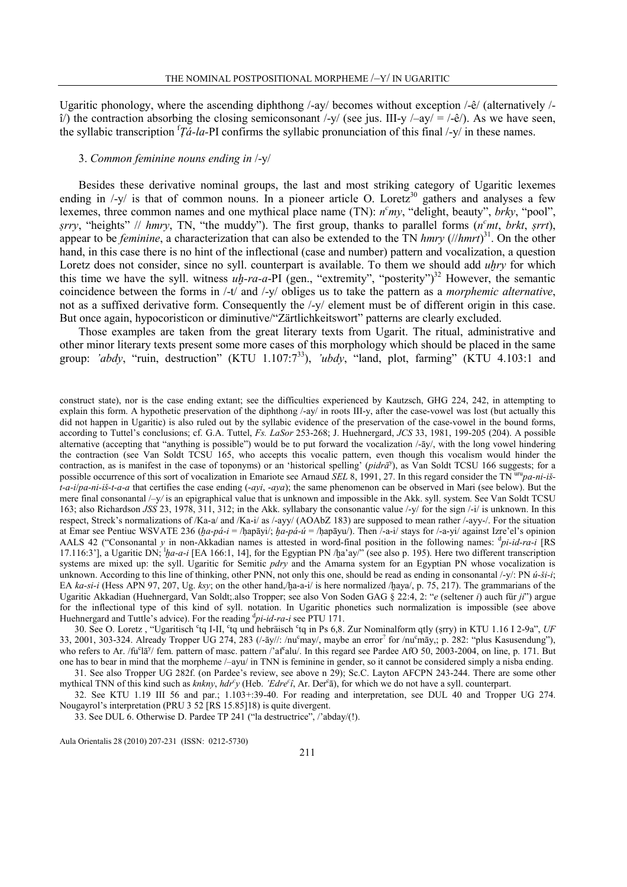Ugaritic phonology, where the ascending diphthong /-ay/ becomes without exception /-ê/ (alternatively / î/) the contraction absorbing the closing semiconsonant /-y/ (see jus. III-y /–ay/ = /-ê/). As we have seen, the syllabic transcription  ${}^{f}\bar{f}a-la-PI$  confirms the syllabic pronunciation of this final /-y/ in these names.

### 3. Common feminine nouns ending in /-y/

Besides these derivative nominal groups, the last and most striking category of Ugaritic lexemes ending in  $\langle -v \rangle$  is that of common nouns. In a pioneer article O. Loretz<sup>30</sup> gathers and analyses a few lexemes, three common names and one mythical place name (TN):  $n<sup>c</sup> my$ , "delight, beauty", brky, "pool", srry, "heights" // hmry, TN, "the muddy"). The first group, thanks to parallel forms  $(n<sup>c</sup>mt, brkt, srt)$ , appear to be *feminine*, a characterization that can also be extended to the TN hmry  $(//hmrt)^{31}$ . On the other hand, in this case there is no hint of the inflectional (case and number) pattern and vocalization, a question Loretz does not consider, since no syll. counterpart is available. To them we should add uhry for which this time we have the syll. witness  $u_1h$ -ra-a-PI (gen., "extremity", "posterity")<sup>32</sup> However, the semantic coincidence between the forms in /-t/ and /-y/ obliges us to take the pattern as a morphemic alternative, not as a suffixed derivative form. Consequently the /-y/ element must be of different origin in this case. But once again, hypocoristicon or diminutive/"Zärtlichkeitswort" patterns are clearly excluded.

Those examples are taken from the great literary texts from Ugarit. The ritual, administrative and other minor literary texts present some more cases of this morphology which should be placed in the same group: 'abdy, "ruin, destruction" (KTU 1.107:7<sup>33</sup>), 'ubdy, "land, plot, farming" (KTU 4.103:1 and

construct state), nor is the case ending extant; see the difficulties experienced by Kautzsch, GHG 224, 242, in attempting to explain this form. A hypothetic preservation of the diphthong /-ay/ in roots III-y, after the case-vowel was lost (but actually this did not happen in Ugaritic) is also ruled out by the syllabic evidence of the preservation of the case-vowel in the bound forms, according to Tuttel's conclusions; cf. G.A. Tuttel, Fs. LaSor 253-268; J. Huehnergard, JCS 33, 1981, 199-205 (204). A possible alternative (accepting that "anything is possible") would be to put forward the vocalization /-āy/, with the long vowel hindering the contraction (see Van Soldt TCSU 165, who accepts this vocalic pattern, even though this vocalism would hinder the contraction, as is manifest in the case of toponyms) or an 'historical spelling' (pidrā<sup>y</sup>), as Van Soldt TCSU 166 suggests; for a possible occurrence of this sort of vocalization in Emariote see Arnaud SEL 8, 1991, 27. In this regard consider the TN  $^{\text{ur}}$ u $\alpha$ -ni-iš $t-a-i/pa-ni-i\zeta-t-a-a$  that certifies the case ending  $(-qvi, -qva)$ ; the same phenomenon can be observed in Mari (see below). But the mere final consonantal /–y/ is an epigraphical value that is unknown and impossible in the Akk. syll. system. See Van Soldt TCSU 163; also Richardson JSS 23, 1978, 311, 312; in the Akk. syllabary the consonantic value /-y/ for the sign /-i/ is unknown. In this respect, Streck's normalizations of /Ka-a/ and /Ka-i/ as /-ayy/ (AOAbZ 183) are supposed to mean rather /-ayy-/. For the situation at Emar see Pentiuc WSVATE 236 ( $h_a-p_a-i = /h_a-p_a-i = /h_a-p_a-i$ ). Then  $/-a-i/$  stays for  $/-a-y_i$  against Izre'el's opinion AALS 42 ("Consonantal y in non-Akkadian names is attested in word-final position in the following names: <sup>d</sup>pi-id-ra-i [RS 17.116:3'], a Ugaritic DN;  ${}^{1}b^{a}$ -a-i [EA 166:1, 14], for the Egyptian PN /ḫa'ay/" (see also p. 195). Here two different transcription systems are mixed up: the syll. Ugaritic for Semitic pdry and the Amarna system for an Egyptian PN whose vocalization is unknown. According to this line of thinking, other PNN, not only this one, should be read as ending in consonantal  $\frac{1}{y}$ : PN  $\hat{u}$ - $\hat{s}i$ -i; EA ka-si-i (Hess APN 97, 207, Ug. ksy; on the other hand,/ḫa-a-i/ is here normalized /ḫaya/, p. 75, 217). The grammarians of the Ugaritic Akkadian (Huehnergard, Van Soldt; also Tropper; see also Von Soden GAG § 22:4, 2: "e (seltener i) auch für ji") argue for the inflectional type of this kind of syll. notation. In Ugaritic phonetics such normalization is impossible (see above Huehnergard and Tuttle's advice). For the reading  $\frac{d}{dt}$ *pi-id-ra-i* see PTU 171.

30. See O. Loretz, "Ugaritisch <sup>c</sup>tq I-II, <sup>c</sup>tq und hebräisch <sup>c</sup>tq in Ps 6,8. Zur Nominalform qtly (srry) in KTU 1.16 I 2-9a", UF 33, 2001, 303-324. Already Tropper UG 274, 283  $($ /-āy//: /nu<sup>c</sup>may/, maybe an error<sup>?</sup> for /nu<sup>c</sup>māy,; p. 282: "plus Kasusendung"), who refers to Ar. /fu<sup>c</sup>lā<sup>y</sup>/ fem. pattern of masc. pattern /'af<sup>c</sup>alu/. In this regard see Pardee AfO 50, 2003-2004, on line, p. 171. But one has to bear in mind that the morpheme /–ayu/ in TNN is feminine in gender, so it cannot be considered simply a nisba ending.

31. See also Tropper UG 282f. (on Pardee's review, see above n 29); Sc.C. Layton AFCPN 243-244. There are some other mythical TNN of this kind such as knkny, hdr<sup>c</sup>y (Heb. 'Edre<sup>c</sup>i, Ar. Der<sup>c</sup>a), for which we do not have a syll. counterpart.

32. See KTU 1.19 III 56 and par.; 1.103+:39-40. For reading and interpretation, see DUL 40 and Tropper UG 274. Nougayrol's interpretation (PRU 3 52 [RS 15.85]18) is quite divergent.

33. See DUL 6. Otherwise D. Pardee TP 241 ("la destructrice", /'abday/(!).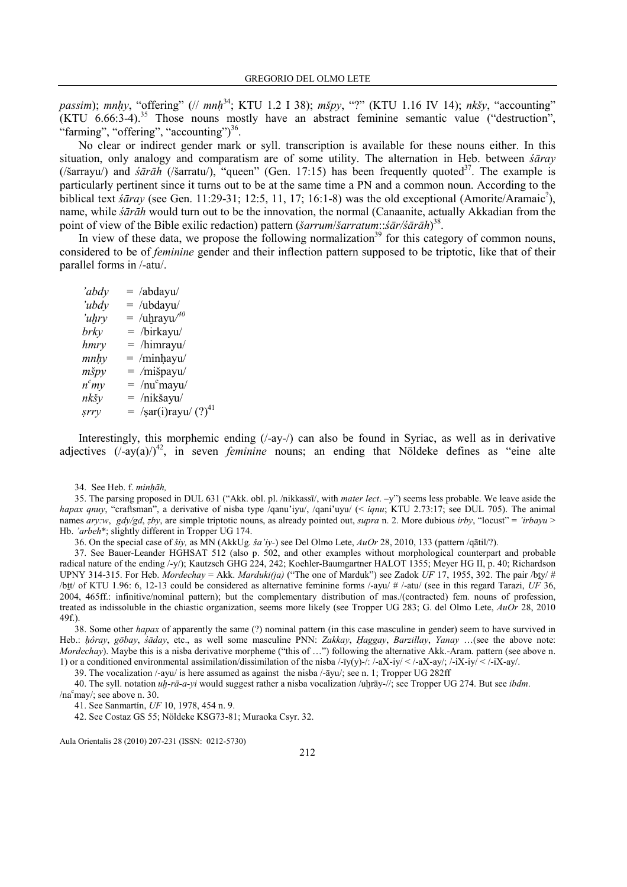passim); mnhy, "offering" (// mnḥ<sup>34</sup>; KTU 1.2 I 38); mšpy, "?" (KTU 1.16 IV 14); nkšy, "accounting"  $(KTU \ 6.66:3-4).$ <sup>35</sup> Those nouns mostly have an abstract feminine semantic value ("destruction", "farming", "offering", "accounting") $^{36}$ .

No clear or indirect gender mark or syll. transcription is available for these nouns either. In this situation, only analogy and comparatism are of some utility. The alternation in Heb. between śāray (/šarrayu/) and  $\frac{\sinh((\sinh((\sinh((\sinh((\sinh(1))1111))\sinh(\sin(\sinh((\sinh((\sin(1))1111))))\sinh(\sin(\sin(1))))\sinh(\sin(\sin(\sin(1))))\sinh(\sin(\sin(\sin(\sin(1))))\sinh(\sin(\sin(\sin(\sin(1))))\sinh(\sin(\sin(\sin(\sin(1))))\sinh(\sin(\sin(\sin(\sin(1))))\sinh(\sin(\sin(\sin(\sin(1))))\sinh(\sin(\sin(\sin(\sin(1))))\sinh(\sin(\sin(\sin(\sin(1))))\sinh(\sin(\sin(\sin(\sin(1))))\sinh(\sin(\sin(\sin(\sin(1))))\sinh(\$ particularly pertinent since it turns out to be at the same time a PN and a common noun. According to the biblical text  $\frac{\xi}{\overline{a}}r$  (see Gen. 11:29-31; 12:5, 11, 17; 16:1-8) was the old exceptional (Amorite/Aramaic<sup>2</sup>), name, while śārāh would turn out to be the innovation, the normal (Canaanite, actually Akkadian from the point of view of the Bible exilic redaction) pattern (*šarrum/šarratum*:: $\frac{\dot{s}}{\dot{a}}$ r/s $\frac{\dot{a}}{\dot{a}}$ r $\frac{\dot{s}}{\dot{a}}$ 

In view of these data, we propose the following normalization<sup>39</sup> for this category of common nouns, considered to be of feminine gender and their inflection pattern supposed to be triptotic, like that of their parallel forms in /-atu/.

Interestingly, this morphemic ending (/-ay-/) can also be found in Syriac, as well as in derivative adjectives  $(1-ay(a))^4$ , in seven *feminine* nouns; an ending that Nöldeke defines as "eine alte

34. See Heb. f. minhāh,

35. The parsing proposed in DUL 631 ("Akk. obl. pl. /nikkassī/, with mater lect. –y") seems less probable. We leave aside the hapax qnuy, "craftsman", a derivative of nisba type  $\overline{q}$ anu'iyu/, /qani'uyu/ (< iqnu; KTU 2.73:17; see DUL 705). The animal names ary:w, gdy/gd, zby, are simple triptotic nouns, as already pointed out, supra n. 2. More dubious irby, "locust" = 'irbayu > Hb. 'arbeh\*; slightly different in Tropper UG 174.

36. On the special case of šiy, as MN (AkkUg. ša'iy-) see Del Olmo Lete, AuOr 28, 2010, 133 (pattern /qātil/?).

37. See Bauer-Leander HGHSAT 512 (also p. 502, and other examples without morphological counterpart and probable radical nature of the ending /-y/); Kautzsch GHG 224, 242; Koehler-Baumgartner HALOT 1355; Meyer HG II, p. 40; Richardson UPNY 314-315. For Heb. Mordechay = Akk. Marduki(ja) ("The one of Marduk") see Zadok UF 17, 1955, 392. The pair /bty/ # /btt/ of KTU 1.96: 6, 12-13 could be considered as alternative feminine forms /-ayu/  $\#$ /-atu/ (see in this regard Tarazi, UF 36, 2004, 465ff.: infinitive/nominal pattern); but the complementary distribution of mas./(contracted) fem. nouns of profession, treated as indissoluble in the chiastic organization, seems more likely (see Tropper UG 283; G. del Olmo Lete, AuOr 28, 2010 49f.).

38. Some other *hapax* of apparently the same (?) nominal pattern (in this case masculine in gender) seem to have survived in Heb.: hôray, gōbay, śāday, etc., as well some masculine PNN: Zakkay, Haggay, Barzillay, Yanay …(see the above note: Mordechay). Maybe this is a nisba derivative morpheme ("this of …") following the alternative Akk.-Aram. pattern (see above n. 1) or a conditioned environmental assimilation/dissimilation of the nisba /-īy(y)-/: /-aX-iy/ < /-aX-ay/; /-iX-iy/ < /-iX-ay/.

39. The vocalization /-ayu/ is here assumed as against the nisba /-āyu/; see n. 1; Tropper UG 282ff

40. The syll. notation uh-rā-a-yi would suggest rather a nisba vocalization /uḫrāy-//; see Tropper UG 274. But see ibdm. /na<sup>c</sup>may/; see above n. 30.

41. See Sanmartín, UF 10, 1978, 454 n. 9.

42. See Costaz GS 55; Nöldeke KSG73-81; Muraoka Csyr. 32.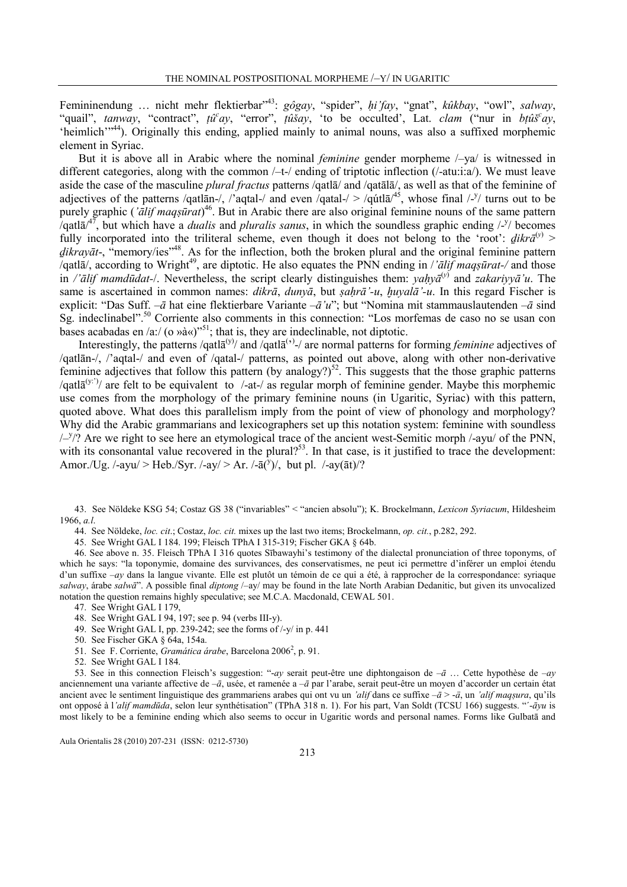Femininendung ... nicht mehr flektierbar"<sup>43</sup>: gôgay, "spider", hi'fay, "gnat", kûkbay, "owl", salway, "quail", tanway, "contract", tû<sup>c</sup>ay, "error", tûšay, 'to be occulted', Lat. clam ("nur in btûs<sup>c</sup>ay, 'heimlich'"<sup>44</sup>). Originally this ending, applied mainly to animal nouns, was also a suffixed morphemic element in Syriac.

But it is above all in Arabic where the nominal *feminine* gender morpheme  $\frac{1}{4}$  is witnessed in different categories, along with the common  $/-$ t-/ ending of triptotic inflection ( $/$ -atu:i:a/). We must leave aside the case of the masculine plural fractus patterns /qatlā/ and /qatālā/, as well as that of the feminine of adjectives of the patterns /qatlan-/, /'aqtal-/ and even /qatal-/ > /qutla<sup> $45$ </sup>, whose final /-<sup>y</sup>/ turns out to be purely graphic (' $\bar{a}$ lif maqṣūrat)<sup>46</sup>. But in Arabic there are also original feminine nouns of the same pattern /qatl $\bar{a}$ /<sup>47</sup>, but which have a *dualis* and *pluralis sanus*, in which the soundless graphic ending /-<sup>y</sup>/ becomes fully incorporated into the triliteral scheme, even though it does not belong to the 'root':  $\frac{d}{dx}$ <sup>(y)</sup> >  $\frac{d}{dx}$   $\frac{d}{dx}$ , "memory/ies"<sup>48</sup>. As for the inflection, both the broken plural and the original feminine pattern /qatl $\bar{a}$ /, according to Wright<sup>49</sup>, are diptotic. He also equates the PNN ending in /' $\bar{a}$ lif maqsūrat-/ and those in /'ālif mamdūdat-/. Nevertheless, the script clearly distinguishes them: yaḥyā<sup>(y)</sup> and zakariyyā'u. The same is ascertained in common names: dikrā, dunyā, but sahrā'-u, huyalā'-u. In this regard Fischer is explicit: "Das Suff. – $\bar{a}$  hat eine flektierbare Variante – $\bar{a}'u$ "; but "Nomina mit stammauslautenden – $\bar{a}$  sind Sg. indeclinabel".<sup>50</sup> Corriente also comments in this connection: "Los morfemas de caso no se usan con bases acabadas en /a:/ (o Ȉ«)"<sup>51</sup>; that is, they are indeclinable, not diptotic.

Interestingly, the patterns /qatl $\bar{a}^{(y)}$  and /qatl $\bar{a}^{(y)}$  are normal patterns for forming *feminine* adjectives of /qatlān-/, /'aqtal-/ and even of /qatal-/ patterns, as pointed out above, along with other non-derivative feminine adjectives that follow this pattern (by analogy?)<sup>52</sup>. This suggests that the those graphic patterns /qatl $\bar{a}^{(y)}$  are felt to be equivalent to /-at-/ as regular morph of feminine gender. Maybe this morphemic use comes from the morphology of the primary feminine nouns (in Ugaritic, Syriac) with this pattern, quoted above. What does this parallelism imply from the point of view of phonology and morphology? Why did the Arabic grammarians and lexicographers set up this notation system: feminine with soundless  $\frac{y}{y}$ ? Are we right to see here an etymological trace of the ancient west-Semitic morph /-ayu/ of the PNN, with its consonantal value recovered in the plural?<sup>53</sup>. In that case, is it justified to trace the development: Amor./Ug. /-ayu/ > Heb./Syr. /-ay/ > Ar. /- $\bar{a}(\bar{y})$ /, but pl. /-ay( $\bar{a}t$ )/?

43. See Nöldeke KSG 54; Costaz GS 38 ("invariables" < "ancien absolu"); K. Brockelmann, Lexicon Syriacum, Hildesheim 1966, a.l.

44. See Nöldeke, loc. cit.; Costaz, loc. cit. mixes up the last two items; Brockelmann, op. cit., p.282, 292.

45. See Wright GAL I 184. 199; Fleisch TPhA I 315-319; Fischer GKA § 64b.

46. See above n. 35. Fleisch TPhA I 316 quotes Sībawayhi's testimony of the dialectal pronunciation of three toponyms, of which he says: "la toponymie, domaine des survivances, des conservatismes, ne peut ici permettre d'inférer un emploi étendu d'un suffixe -ay dans la langue vivante. Elle est plutôt un témoin de ce qui a été, à rapprocher de la correspondance: syriaque salway, árabe salwā". A possible final diptong /-ay/ may be found in the late North Arabian Dedanitic, but given its unvocalized notation the question remains highly speculative; see M.C.A. Macdonald, CEWAL 501.

- 47. See Wright GAL I 179,
- 48. See Wright GAL I 94, 197; see p. 94 (verbs III-y).
- 49. See Wright GAL I, pp. 239-242; see the forms of /-y/ in p. 441
- 50. See Fischer GKA § 64a, 154a.
- 51. See F. Corriente, Gramática árabe, Barcelona 2006<sup>2</sup>, p. 91.
- 52. See Wright GAL I 184.

53. See in this connection Fleisch's suggestion: "-ay serait peut-être une diphtongaison de  $-\bar{a}$  ... Cette hypothèse de  $-ay$ anciennement una variante affective de  $-\bar{a}$ , usée, et ramenée a  $-\bar{a}$  par l'arabe, serait peut-être un moyen d'accorder un certain état ancient avec le sentiment linguistique des grammariens arabes qui ont vu un 'alif dans ce suffixe  $-\bar{a}$  > - $\bar{a}$ , un 'alif magsura, qu'ils ont opposé à l'alif mamdūda, selon leur synthétisation" (TPhA 318 n. 1). For his part, Van Soldt (TCSU 166) suggests. "-āyu is most likely to be a feminine ending which also seems to occur in Ugaritic words and personal names. Forms like Gulbatā and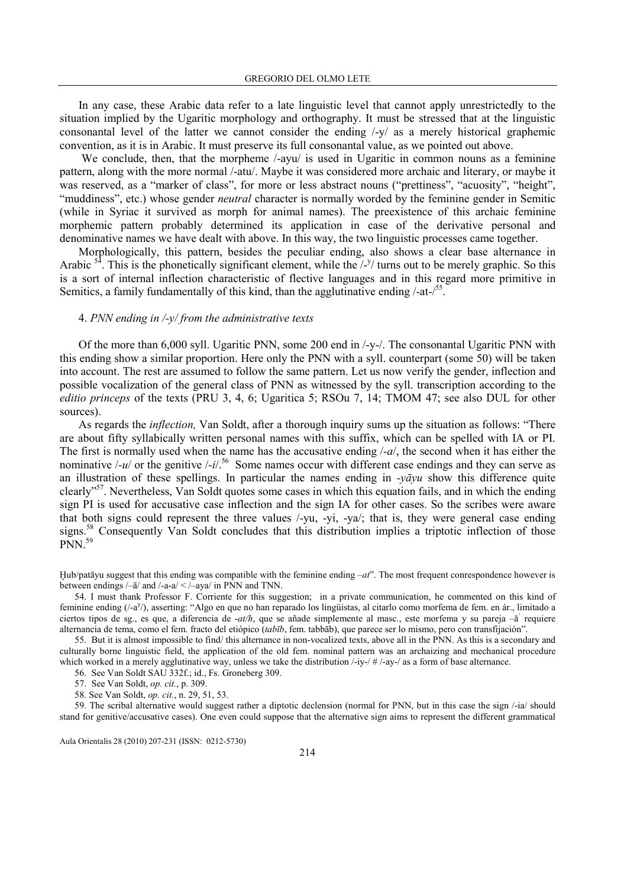In any case, these Arabic data refer to a late linguistic level that cannot apply unrestrictedly to the situation implied by the Ugaritic morphology and orthography. It must be stressed that at the linguistic consonantal level of the latter we cannot consider the ending /-y/ as a merely historical graphemic convention, as it is in Arabic. It must preserve its full consonantal value, as we pointed out above.

We conclude, then, that the morpheme /-ayu/ is used in Ugaritic in common nouns as a feminine pattern, along with the more normal /-atu/. Maybe it was considered more archaic and literary, or maybe it was reserved, as a "marker of class", for more or less abstract nouns ("prettiness", "acuosity", "height", "muddiness", etc.) whose gender *neutral* character is normally worded by the feminine gender in Semitic (while in Syriac it survived as morph for animal names). The preexistence of this archaic feminine morphemic pattern probably determined its application in case of the derivative personal and denominative names we have dealt with above. In this way, the two linguistic processes came together.

Morphologically, this pattern, besides the peculiar ending, also shows a clear base alternance in Arabic  $5^4$ . This is the phonetically significant element, while the  $\frac{y}{y}$  turns out to be merely graphic. So this is a sort of internal inflection characteristic of flective languages and in this regard more primitive in Semitics, a family fundamentally of this kind, than the agglutinative ending  $/$ -at- $/55$ .

## 4. PNN ending in  $\frac{1}{v}$  from the administrative texts

Of the more than 6,000 syll. Ugaritic PNN, some 200 end in /-y-/. The consonantal Ugaritic PNN with this ending show a similar proportion. Here only the PNN with a syll. counterpart (some 50) will be taken into account. The rest are assumed to follow the same pattern. Let us now verify the gender, inflection and possible vocalization of the general class of PNN as witnessed by the syll. transcription according to the editio princeps of the texts (PRU 3, 4, 6; Ugaritica 5; RSOu 7, 14; TMOM 47; see also DUL for other sources).

As regards the inflection, Van Soldt, after a thorough inquiry sums up the situation as follows: "There are about fifty syllabically written personal names with this suffix, which can be spelled with IA or PI. The first is normally used when the name has the accusative ending  $\frac{1}{a}$ , the second when it has either the nominative  $\frac{1-u}{v}$  or the genitive  $\frac{1}{v}$ .<sup>56</sup> Some names occur with different case endings and they can serve as an illustration of these spellings. In particular the names ending in  $\neg \bar{q}yu$  show this difference quite clearly"<sup>57</sup>. Nevertheless, Van Soldt quotes some cases in which this equation fails, and in which the ending sign PI is used for accusative case inflection and the sign IA for other cases. So the scribes were aware that both signs could represent the three values /-yu, -yi, -ya/; that is, they were general case ending signs.<sup>58</sup> Consequently Van Soldt concludes that this distribution implies a triptotic inflection of those  $PNN.<sup>59</sup>$ 

 $Hub/patāyu suggest that this ending was compatible with the feminine ending  $-at$ . The most frequent correspondence however is$ between endings /–ā/ and /-a-a/ < /–aya/ in PNN and TNN.

54. I must thank Professor F. Corriente for this suggestion; in a private communication, he commented on this kind of feminine ending (/-a<sup>y</sup>/), asserting: "Algo en que no han reparado los lingüistas, al citarlo como morfema de fem. en ár., limitado a ciertos tipos de sg., es que, a diferencia de *-at/h*, que se añade simplemente al masc., este morfema y su pareja –ā<sup>'</sup> requiere alternancia de tema, como el fem. fracto del etiópico (tabīb, fem. tabbāb), que parece ser lo mismo, pero con transfijación".

55. But it is almost impossible to find/ this alternance in non-vocalized texts, above all in the PNN. As this is a secondary and culturally borne linguistic field, the application of the old fem. nominal pattern was an archaizing and mechanical procedure which worked in a merely agglutinative way, unless we take the distribution  $\frac{1}{y}$ - $\frac{1}{x}$ -ay-/ as a form of base alternance.

56. See Van Soldt SAU 332f.; id., Fs. Groneberg 309.

57. See Van Soldt, op. cit., p. 309.

58. See Van Soldt, op. cit., n. 29, 51, 53.

59. The scribal alternative would suggest rather a diptotic declension (normal for PNN, but in this case the sign /-ia/ should stand for genitive/accusative cases). One even could suppose that the alternative sign aims to represent the different grammatical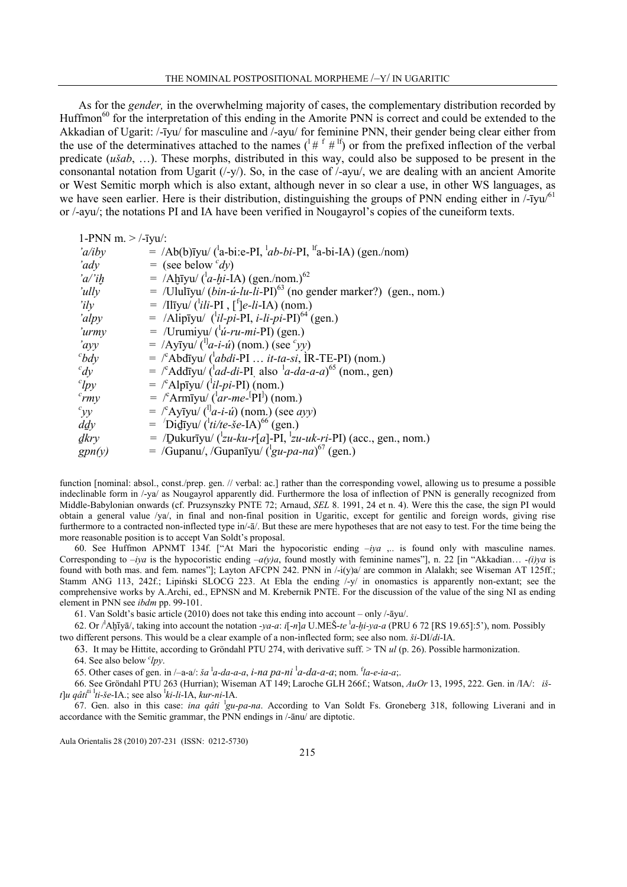As for the *gender*, in the overwhelming majority of cases, the complementary distribution recorded by Huffmon<sup>60</sup> for the interpretation of this ending in the Amorite PNN is correct and could be extended to the Akkadian of Ugarit: /-īyu/ for masculine and /-ayu/ for feminine PNN, their gender being clear either from the use of the determinatives attached to the names  $($ <sup>1</sup> $#$ <sup>f</sup> $#$ <sup>If</sup>) or from the prefixed inflection of the verbal predicate (ušab, …). These morphs, distributed in this way, could also be supposed to be present in the consonantal notation from Ugarit (/-y/). So, in the case of /-ayu/, we are dealing with an ancient Amorite or West Semitic morph which is also extant, although never in so clear a use, in other WS languages, as we have seen earlier. Here is their distribution, distinguishing the groups of PNN ending either in  $\left[-\frac{1}{2}V\right]$ or /-ayu/; the notations PI and IA have been verified in Nougayrol's copies of the cuneiform texts.

| 1-PNN m. $>$ /-īyu/:                                                                                       |
|------------------------------------------------------------------------------------------------------------|
| $=$ /Ab(b) $\bar{y}$ yu/ ( $a$ -bi:e-PI, $\bar{a}$ b-bi-PI, $\bar{a}$ -bi-IA) (gen./nom)                   |
| $=$ (see below $\partial(y)$ )                                                                             |
| = /Ahivu/ $({}^{1}a$ -hi-IA) (gen./nom.) <sup>62</sup>                                                     |
| $=$ /Ululīyu/ ( <i>bin-ú-lu-li-</i> PI) <sup>63</sup> (no gender marker?) (gen., nom.)                     |
| $=$ /Iliyu/ ( <sup>1</sup> <i>ili</i> -PI, [ <sup>f</sup> ] <i>e-li-</i> IA) (nom.)                        |
| $=$ /Alip <sub>Tyu</sub> / (' <i>il-pi-PI</i> , <i>i-li-pi-PI</i> ) <sup>64</sup> (gen.)                   |
| $=$ /Urumiyu/ ( $\frac{d}{dt}$ -ru-mi-PI) (gen.)                                                           |
| $=$ /Ayīyu/ $({}^{l}a-i-i)$ (nom.) (see 'yy)                                                               |
| $=$ $\int^c$ Abdīyu/ $\int^t$ <i>abdi</i> -PI <i>it-ta-si</i> , IR-TE-PI) (nom.)                           |
| $=$ /°Addīyu/ ( <sup>1</sup> <i>ad-di-PI</i> also <sup>1</sup> <i>a-da-a-a</i> ) <sup>65</sup> (nom., gen) |
| $=$ /°Alpīyu/ ( $i\ell$ - <i>pi</i> -PI) (nom.)                                                            |
| $=$ /°Armiyu/ ( $a$ <i>r-me</i> - $\rm [PI]$ ) (nom.)                                                      |
| $=$ $\int^c$ Ayīyu/ $\left( \frac{1}{a} - i \right)$ (nom.) (see <i>ayy</i> )                              |
| $=$ $\int$ Did <del>iyu/ (<sup>1</sup>ti/te-<i>še</i>-IA)<sup>66</sup> (gen.)</del>                        |
| = /Dukurīyu/ $({}^{\perp}u$ -ku-r[a]-PI, ${}^{\perp}zu$ -uk-ri-PI) (acc., gen., nom.)                      |
| = /Gupanu/, /Gupaniyu/ $({}^{1}_{\mathcal{S}}u$ -pa-na) <sup>6/</sup> (gen.)                               |
|                                                                                                            |

function [nominal: absol., const./prep. gen. // verbal: ac.] rather than the corresponding vowel, allowing us to presume a possible indeclinable form in /-ya/ as Nougayrol apparently did. Furthermore the losa of inflection of PNN is generally recognized from Middle-Babylonian onwards (cf. Pruzsynszky PNTE 72; Arnaud, SEL 8. 1991, 24 et n. 4). Were this the case, the sign PI would obtain a general value /ya/, in final and non-final position in Ugaritic, except for gentilic and foreign words, giving rise furthermore to a contracted non-inflected type in/- $\bar{a}$ . But these are mere hypotheses that are not easy to test. For the time being the more reasonable position is to accept Van Soldt's proposal.

60. See Huffmon APNMT 134f. ["At Mari the hypocoristic ending  $-iva$   $\ldots$  is found only with masculine names. Corresponding to  $-iya$  is the hypocoristic ending  $-a(y)a$ , found mostly with feminine names"], n. 22 [in "Akkadian... -(i)ya is found with both mas. and fem. names"]; Layton AFCPN 242. PNN in /-i(y)a/ are common in Alalakh; see Wiseman AT 125ff.; Stamm ANG 113, 242f.; Lipiński SLOCG 223. At Ebla the ending /-y/ in onomastics is apparently non-extant; see the comprehensive works by A.Archi, ed., EPNSN and M. Krebernik PNTE. For the discussion of the value of the sing NI as ending element in PNN see ibdm pp. 99-101.

61. Van Soldt's basic article (2010) does not take this ending into account – only /-āyu/.

62. Or  $/$ Aḫīyā/, taking into account the notation -ya-a: i[-n]a U.MEŠ-te  $^1a$ -hi-ya-a (PRU 6 72 [RS 19.65]:5'), nom. Possibly two different persons. This would be a clear example of a non-inflected form; see also nom.  $\delta i$ -DI/di-IA.

63. It may be Hittite, according to Gröndahl PTU 274, with derivative suff.  $>$  TN ul (p. 26). Possible harmonization.

64. See also below  $\ell$ *py*.

65. Other cases of gen. in  $/-a-a$ :  $\ddot{s}a^{-1}a-da-a-a$ ,  $\ddot{i} -na p a-n\dot{i}^{-1}a-da-a-a$ ; nom.  $a^{-1}a-e-ia-a$ ;.

66. See Gröndahl PTU 263 (Hurrian); Wiseman AT 149; Laroche GLH 266f.; Watson, AuOr 13, 1995, 222. Gen. in /IA/: išt]u qâti<sup>ti 1</sup>ti-še-IA.; see also <sup>1</sup>ki-li-IA, kur-ni-IA.

67. Gen. also in this case: *ina qâti* <sup>1</sup>gu-pa-na. According to Van Soldt Fs. Groneberg 318, following Liverani and in accordance with the Semitic grammar, the PNN endings in /-ānu/ are diptotic.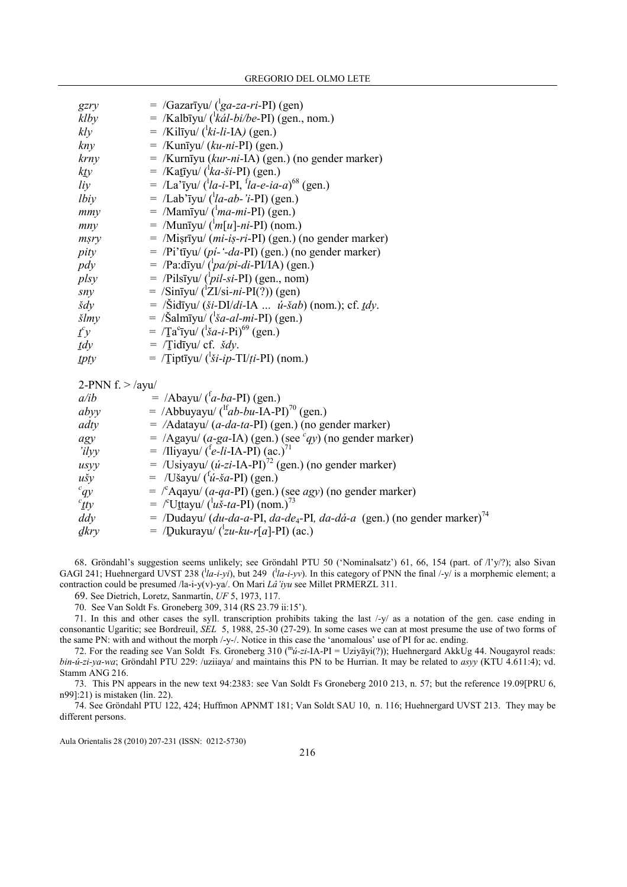| gzry                    | $=$ /Gazarīyu/ ( $\frac{1}{2}$ ga-za-ri-PI) (gen)                                                 |
|-------------------------|---------------------------------------------------------------------------------------------------|
| klby                    | $=$ /Kalbīyu/ ( $k\acute{a}$ <i>l-bi/be-</i> PI) (gen., nom.)                                     |
| kly                     | $=$ /Kilīyu/ ( $'ki-li$ -IA) (gen.)                                                               |
| kny                     | $=$ /Kunīyu/ (ku-ni-PI) (gen.)                                                                    |
| krny                    | = /Kurnīyu (kur-ni-IA) (gen.) (no gender marker)                                                  |
| $k$ ty                  | $=$ /Katīyu/ ( $^{\prime}$ <i>ka-ši</i> -PI) (gen.)                                               |
| liy                     | $=$ /La'iyu/ ('la-i-PI, 'la-e-ia-a) <sup>68</sup> (gen.)                                          |
| lbiy                    | $=$ /Lab'īyu/ ( $^l$ la-ab-'i-PI) (gen.)                                                          |
| mmy                     | $=$ /Mamīyu/ ( $^{\text{1}}$ <i>ma-mi</i> -PI) (gen.)                                             |
| mny                     | $=$ /Muntyu/ $\binom{1}{m}$ [u]-ni-PI) (nom.)                                                     |
| msry                    | = /Misrīyu/ (mi-iṣ-ri-PI) (gen.) (no gender marker)                                               |
| pity                    | $=$ /Pi'tīyu/ (pi-'-da-PI) (gen.) (no gender marker)                                              |
| pdy                     | $=$ /Pa:dīyu/ $({}^{\text{b}}pa/pi$ -di-PI/IA) (gen.)                                             |
| plsy                    | $=$ /Pilsīyu/ ( $\frac{1}{pi}$ -si-PI) (gen., nom)                                                |
| sny                     | $=$ /Sinīyu/ ( $^1ZI/si-ni-PI(?)$ ) (gen)                                                         |
| $\check{s}dy$           | = $\delta$ idīyu/ (ši-DI/di-IA <i>ú-šab</i> ) (nom.); cf. <i>tdy</i> .                            |
| $\zeta l$ <i>my</i>     | $=$ /Šalmīyu/ ('ša-al-mi-PI) (gen.)                                                               |
| $f^c y$                 | = $/Ta^{c}$ Tyu/ $({}^{1}Sa-i-Pi)^{69}$ (gen.)                                                    |
| $\mathbf{1}d\mathbf{y}$ | $=$ $/T$ idīyu/ cf. <i>šdy</i> .                                                                  |
| tpty                    | $=$ /Tiptīyu/ ('ši-ip-TI/ti-PI) (nom.)                                                            |
|                         |                                                                                                   |
| 2-PNN $f$ . > /ayu/     |                                                                                                   |
| a <sub>ib</sub>         | $=$ /Abayu/ $({}^{t}a-ba-PI)$ (gen.)                                                              |
| abyy                    | $=$ /Abbuyayu/ ( <sup>If</sup> ab-bu-IA-PI) <sup>70</sup> (gen.)                                  |
| adty                    | $=$ /Adatayu/ ( <i>a-da-ta-PI</i> ) (gen.) (no gender marker)                                     |
| agy                     | $=$ /Agayu/ (a-ga-IA) (gen.) (see $qy$ ) (no gender marker)                                       |
| 'ilyy                   | = /Iliyayu/ $({}^{t}e$ -li-IA-PI) (ac.) <sup>71</sup>                                             |
| usyy                    | $=$ /Usiyayu/ ( <i>u-zi-</i> IA-PI) <sup>72</sup> (gen.) (no gender marker)                       |
| $u\check{s}y$           | $=$ /Ušayu/ $({}^{t}\acute{u}$ - <i>ša</i> -PI) (gen.)                                            |
| $\epsilon_{qy}$         | $=$ $\int^c$ Aqayu/ (a-qa-PI) (gen.) (see agy) (no gender marker)                                 |
| cty                     | $=$ /°Uttayu/ ( $^{\prime}u\check{s}$ -ta-PI) (nom.) <sup>73</sup>                                |
| $\frac{dy}{dx}$         | $=$ /Dudayu/ (du-da-a-PI, da-de <sub>4</sub> -PI, da-dá-a (gen.) (no gender marker) <sup>74</sup> |
| dkry                    | $=$ /Dukurayu/ $({}^{\text{L}}zu$ -ku-r[a]-PI) (ac.)                                              |

68. Gröndahl's suggestion seems unlikely; see Gröndahl PTU 50 ('Nominalsatz') 61, 66, 154 (part. of /l'y/?); also Sivan GAGI 241; Huehnergard UVST 238 ( $\langle la-i-yi \rangle$ , but 249 ( $\langle la-i-yv \rangle$ ). In this category of PNN the final /-y/ is a morphemic element; a contraction could be presumed /la-i-y(v)-ya/. On Mari Lâ'iyu see Millet PRMERZL 311.

69. See Dietrich, Loretz, Sanmartín, UF 5, 1973, 117.

70. See Van Soldt Fs. Groneberg 309, 314 (RS 23.79 ii:15').

71. In this and other cases the syll. transcription prohibits taking the last /-y/ as a notation of the gen. case ending in consonantic Ugaritic; see Bordreuil, SEL 5, 1988, 25-30 (27-29). In some cases we can at most presume the use of two forms of the same PN: with and without the morph /-y-/. Notice in this case the 'anomalous' use of PI for ac. ending.

72. For the reading see Van Soldt Fs. Groneberg 310 ( $m\omega$ -zi-IA-PI = Uziyāyi(?)); Huehnergard AkkUg 44. Nougayrol reads: bin-ú-zi-ya-wa; Gröndahl PTU 229: /uziiaya/ and maintains this PN to be Hurrian. It may be related to asyy (KTU 4.611:4); vd. Stamm ANG 216.

73. This PN appears in the new text 94:2383: see Van Soldt Fs Groneberg 2010 213, n. 57; but the reference 19.09[PRU 6, n99]:21) is mistaken (lin. 22).

74. See Gröndahl PTU 122, 424; Huffmon APNMT 181; Van Soldt SAU 10, n. 116; Huehnergard UVST 213. They may be different persons.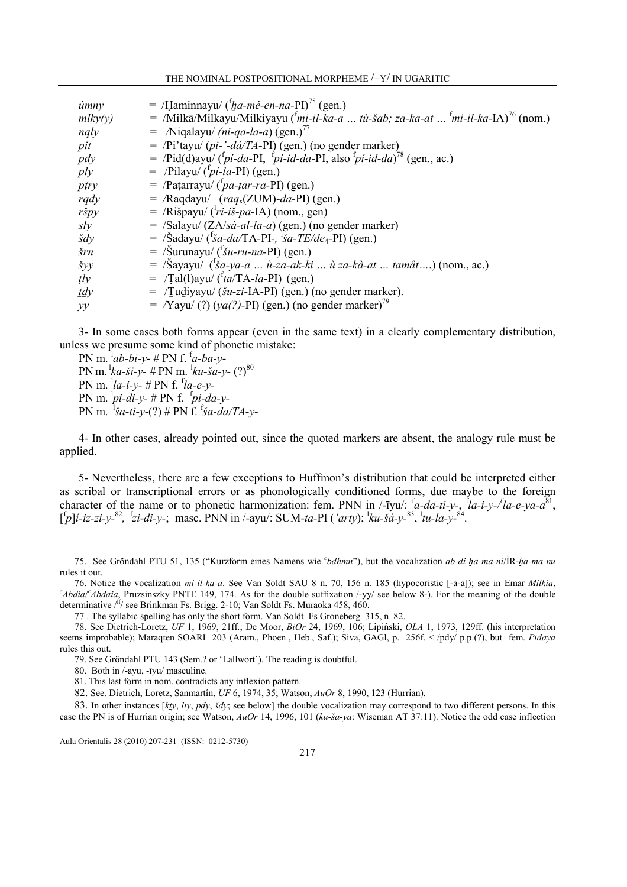THE NOMINAL POSTPOSITIONAL MORPHEME /–Y/ IN UGARITIC

| úmny          | = /Haminnayu/ $({}^{t}$ ha-mé-en-na-PI) <sup>75</sup> (gen.)                                                            |
|---------------|-------------------------------------------------------------------------------------------------------------------------|
| mlky(y)       | $=$ /Milkā/Milkayu/Milkiyayu ( <sup>f</sup> mi-il-ka-a  tù-šab; za-ka-at <sup>f</sup> mi-il-ka-IA) <sup>76</sup> (nom.) |
| ngly          | = /Niqalayu/ (ni-qa-la-a) (gen.) <sup>77</sup>                                                                          |
| pit           | $=$ /Pi'tayu/ (pi-'-dá/TA-PI) (gen.) (no gender marker)                                                                 |
| pdy           | $=$ /Pid(d)ayu/ (fpi-da-PI, fpi-id-da-PI, also fpi-id-da) <sup>78</sup> (gen., ac.)                                     |
| ply           | $=$ /Pilayu/ $({}^{t}pi$ -la-PI) (gen.)                                                                                 |
| ptry          | $=$ /Patarrayu/ $({}^{\dagger}pa$ -tar-ra-PI) (gen.)                                                                    |
| rqdy          | $=$ /Raqdayu/ $\frac{(raq_x(ZUM)-da-PI)}{(gen.)}$                                                                       |
| ršpy          | $=$ /Rišpayu/ ( $\langle r\hat{i} - i\hat{j}\hat{j} - p\hat{a} - iA \rangle$ (nom., gen)                                |
| sly           | $=$ /Salayu/ (ZA/sà-al-la-a) (gen.) (no gender marker)                                                                  |
| $\check{s}dy$ | $=$ /Šadayu/ ('ša-da/TA-PI-, 'ša-TE/de <sub>4</sub> -PI) (gen.)                                                         |
| šrn           | $=$ /Šurunayu/ ( <sup>f</sup> šu-ru-na-PI) (gen.)                                                                       |
| šyy           | $=$ /Šayayu/ $({}^t\tilde{g}a$ -ya-a  ù-za-ak-ki  ù za-kà-at  tamât,) (nom., ac.)                                       |
| $t\bar{y}$    | $=$ /Tal(1)ayu/ $({}^{\dagger}ta/TA-la-PI)$ (gen.)                                                                      |
| $tdy$         | = /Tudiyayu/ (šu-zi-IA-PI) (gen.) (no gender marker).                                                                   |
| yy            | $=$ $\sqrt{Y}$ ayu $\sqrt{(?)}(ya(?) - PI)(gen.)$ (no gender marker) <sup>79</sup>                                      |

3- In some cases both forms appear (even in the same text) in a clearly complementary distribution, unless we presume some kind of phonetic mistake:

PN m.  $^{1}ab-bi-y-$  # PN f.  $^{1}a-ba-y-$ PN m.  ${}^{1}\!ka$ -ši-y- # PN m.  ${}^{1}\!ku$ -ša-y-  $(?)^{80}$ PN m.  $^{l}$ la-i-y- # PN f.  $^{f}$ la-e-y-PN m.  $p\rightarrow i$ -di-y- # PN f.  $p\rightarrow i$ -da-y-PN m.  ${}^{1}$ ša-ti-y-(?) # PN f. <sup>f</sup>ša-da/TA-y-

4- In other cases, already pointed out, since the quoted markers are absent, the analogy rule must be applied.

5- Nevertheless, there are a few exceptions to Huffmon's distribution that could be interpreted either as scribal or transcriptional errors or as phonologically conditioned forms, due maybe to the foreign character of the name or to phonetic harmonization: fem. PNN in /-iyu/:  $a$ -da-ti-y-,  $a$ <sup>f</sup>la-i-y-/ta-e-ya-a<sup>81</sup>,  $\left[ \frac{f}{p} \right]$ *i-iz-zi-y-<sup>82</sup>*,  $\frac{f}{z}$ *i-di-y-*; masc. PNN in /-ayu/: SUM-ta-PI ('arty);  $\frac{1}{k}$ u-šá-y-<sup>83</sup>,  $\frac{1}{l}$ tu-la-y-<sup>84</sup>.

75. See Gröndahl PTU 51, 135 ("Kurzform eines Namens wie *<sup>c</sup>bdhmn*"), but the vocalization *ab-di-ḫa-ma-ni*/ÌR- $\alpha$ -ma-mu rules it out.

76. Notice the vocalization mi-il-ka-a. See Van Soldt SAU 8 n. 70, 156 n. 185 (hypocoristic [-a-a]); see in Emar Milkia,  $c<sub>A</sub>bdia/<sub>C</sub>Abdaia$ , Pruzsinszky PNTE 149, 174. As for the double suffixation /-yy/ see below 8-). For the meaning of the double determinative  $/$ <sup>If</sup>/ see Brinkman Fs. Brigg. 2-10; Van Soldt Fs. Muraoka 458, 460.

77 . The syllabic spelling has only the short form. Van Soldt Fs Groneberg 315, n. 82.

78. See Dietrich-Loretz, UF 1, 1969, 21ff.; De Moor, BiOr 24, 1969, 106; Lipiński, OLA 1, 1973, 129ff. (his interpretation seems improbable); Maraqten SOARI 203 (Aram., Phoen., Heb., Saf.); Siva, GAGl, p. 256f. < /pdy/ p.p.(?), but fem. Pidaya rules this out.

79. See Gröndahl PTU 143 (Sem.? or 'Lallwort'). The reading is doubtful.

80. Both in /-ayu, -īyu/ masculine.

81. This last form in nom. contradicts any inflexion pattern.

82. See. Dietrich, Loretz, Sanmartín, UF 6, 1974, 35; Watson, AuOr 8, 1990, 123 (Hurrian).

83. In other instances  $[ky, liy, pdy, \dot{s}dy]$ ; see below] the double vocalization may correspond to two different persons. In this case the PN is of Hurrian origin; see Watson, AuOr 14, 1996, 101 (ku-ša-ya: Wiseman AT 37:11). Notice the odd case inflection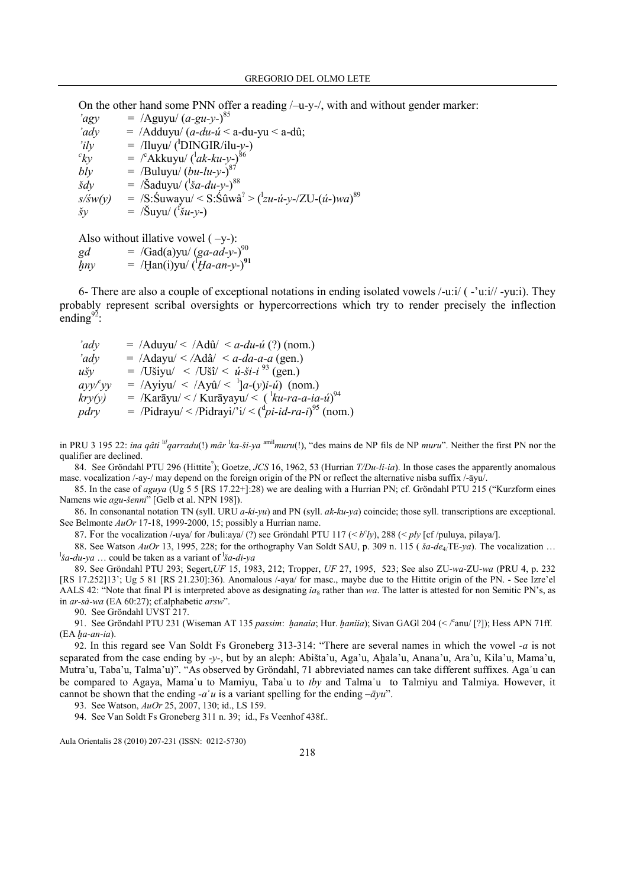On the other hand some PNN offer a reading /–u-y-/, with and without gender marker:

 $\text{"agy}$  = /Aguyu/  $(a\text{-}gu\text{-}y\text{-})^{85}$  $\langle 'adv \rangle = /Adduyu / (a - du - u' \leq a - du - yu \leq a - d\hat{u};$  $i\,dy = /I\,l\,y$  = /Iluyu/ (<sup>l</sup>DINGIR/ilu-y-)  ${}^{c}kv$  $ky =$   $\int^c Akkuyu/(dx-ku-y)^{86}$ bly  $=$  /Buluyu/  $(bu-lu-y-)^{87}$  $\delta dy = / \delta$ aduyu/ $(\delta a - du - y)$ <sup>88</sup>  $s/sw(y)$  = /S:Suwayu/ < S:Sûwâ<sup>?</sup> > (<sup>1</sup>zu-ú-y-/ZU-(ú-)wa)<sup>89</sup>  $\delta y = \frac{\delta y}{\delta u y} \left( \frac{f^2}{\delta u} - y \right)$ 

Also without illative vowel  $(-y-)$ :

 $gd = /Gad(a)$ yu/  $(ga-ad-y-)^{90}$ 

 $hny =$  /Han(i)yu/  $(Ha-an-y-)^{91}$ 

6- There are also a couple of exceptional notations in ending isolated vowels /-u:i/ ( -'u:i// -yu:i). They probably represent scribal oversights or hypercorrections which try to render precisely the inflection ending $^{92}$ :

 $\langle 'adv = /Aduyu / \langle /Ad\hat{u} \rangle \langle adu - \hat{u} \rangle )$  (nom.)  $\langle 'adv \rangle = /Adayu / \langle /Ad\hat{a} \rangle \langle a - da - a - a$  (gen.)  $u\text{S}y = /U\text{S}yu/ < /U\text{S}y/ < u\text{-}5i-i\text{ }93 \text{ (gen.)}$  $ayy$ <sup>c</sup>yy  $yy = /Ayiyu' < /Ay\hat{u}/<sup>1</sup>]a-(y)i-\hat{u}$  (nom.)  $kry(y)$  = /Karāyu/ < / Kurāyayu/ <  $({}^{1}ku$ -ra-a-ia-ú $)^{94}$  $pdry =$  /Pidrayu/ < /Pidrayi/'i/ < ( $\frac{dp_i - id - ra - i}{p}$  (nom.)

in PRU 3 195 22: ina qâti  $\frac{Id}{q}$ arradu(!) mâr  $\frac{1}{k}$ a-ši-ya  $\frac{amil}{m}$ uru(!), "des mains de NP fils de NP *muru*". Neither the first PN nor the qualifier are declined.

84. See Gröndahl PTU 296 (Hittite<sup>2</sup>); Goetze, JCS 16, 1962, 53 (Hurrian  $T/Du$ -li-ia). In those cases the apparently anomalous masc. vocalization /-ay-/ may depend on the foreign origin of the PN or reflect the alternative nisba suffix /-āyu/.

85. In the case of aguya (Ug 5 5 [RS 17.22+]:28) we are dealing with a Hurrian PN; cf. Gröndahl PTU 215 ("Kurzform eines Namens wie agu-šenni" [Gelb et al. NPN 198]).

86. In consonantal notation TN (syll. URU  $a$ -ki-yu) and PN (syll.  $ak-ku-ya$ ) coincide; those syll. transcriptions are exceptional. See Belmonte AuOr 17-18, 1999-2000, 15; possibly a Hurrian name.

87. For the vocalization /-uya/ for /buli:aya/ (?) see Gröndahl PTU 117 (<  $b^c$ ly), 288 (< ply [cf/puluya, pilaya/].

88. See Watson  $AuOr$  13, 1995, 228; for the orthography Van Soldt SAU, p. 309 n. 115 ( $\delta a$ -de<sub>4</sub>/TE-ya). The vocalization ... <sup>1</sup>*ša-du-ya* ... could be taken as a variant of <sup>1</sup>*ša-di-ya* 

89. See Gröndahl PTU 293; Segert,UF 15, 1983, 212; Tropper, UF 27, 1995, 523; See also ZU-wa-ZU-wa (PRU 4, p. 232 [RS 17.252]13'; Ug 5 81 [RS 21.230]:36). Anomalous /-aya/ for masc., maybe due to the Hittite origin of the PN. - See Izre'el AALS 42: "Note that final PI is interpreted above as designating  $ia_8$  rather than wa. The latter is attested for non Semitic PN's, as in ar-sà-wa (EA 60:27); cf.alphabetic arsw".

90. See Gröndahl UVST 217.

91. See Gröndahl PTU 231 (Wiseman AT 135 passim: hanaia; Hur. haniia); Sivan GAGI 204 (< /<sup>c</sup>anu/ [?]); Hess APN 71ff.  $(EA$  ha-an-ia).

92. In this regard see Van Soldt Fs Groneberg 313-314: "There are several names in which the vowel -a is not separated from the case ending by -y-, but by an aleph: Abišta'u, Aga'u, Aḥala'u, Anana'u, Ara'u, Kila'u, Mama'u, Mutra'u, Taba'u, Talma'u)". "As observed by Gröndahl, 71 abbreviated names can take different suffixes. Agaʾu can be compared to Agaya, Mama'u to Mamiyu, Taba'u to thy and Talma'u to Talmiyu and Talmiya. However, it cannot be shown that the ending  $-a\hat{i}u$  is a variant spelling for the ending  $-\overline{a}yu$ ".

93. See Watson, AuOr 25, 2007, 130; id., LS 159.

94. See Van Soldt Fs Groneberg 311 n. 39; id., Fs Veenhof 438f..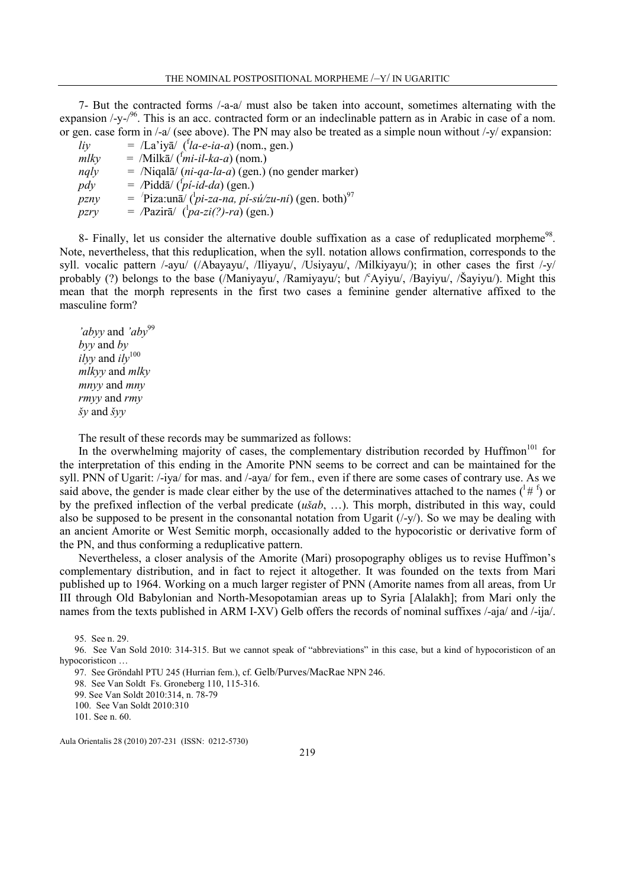7- But the contracted forms /-a-a/ must also be taken into account, sometimes alternating with the expansion  $\frac{y}{y}$ -/<sup>96</sup>. This is an acc. contracted form or an indeclinable pattern as in Arabic in case of a nom. or gen. case form in /-a/ (see above). The PN may also be treated as a simple noun without /-y/ expansion:

| li <sub>V</sub> | $=$ /La'iyā/ ('la-e-ia-a) (nom., gen.)                                                                |
|-----------------|-------------------------------------------------------------------------------------------------------|
| mlky            | $=$ /Milkā/ $(\frac{f_{mi}-iI-ka-a}{a})$ (nom.)                                                       |
| nqly            | $=$ /Niqalā/ ( <i>ni-qa-la-a</i> ) (gen.) (no gender marker)                                          |
| pdy             | $=$ /Piddā/ $({}^{t}pi-i d-da)$ (gen.)                                                                |
| pznv            | $=$ 'Piza:un $\overline{a}$ / ( <sup>1</sup> <i>pi-za-na, pi-sú/zu-ni</i> ) (gen. both) <sup>97</sup> |
| pzry            | $=$ /Pazirā/ $\left(\frac{1}{pq} - zi\right)/2r\alpha$ ) (gen.)                                       |

8- Finally, let us consider the alternative double suffixation as a case of reduplicated morpheme<sup>98</sup>. Note, nevertheless, that this reduplication, when the syll. notation allows confirmation, corresponds to the syll. vocalic pattern /-ayu/ (/Abayayu/, /Iliyayu/, /Usiyayu/, /Milkiyayu/); in other cases the first /-y/ probably (?) belongs to the base (/Maniyayu/, /Ramiyayu/; but  $\ell^c$ Ayiyu/, /Bayiyu/, /Šayiyu/). Might this mean that the morph represents in the first two cases a feminine gender alternative affixed to the masculine form?

'abyy and 'aby<sup>99</sup> byy and by ilyy and  $i\ell y^{100}$ mlkyy and mlky mnyy and mny rmyy and rmy šy and šyy

The result of these records may be summarized as follows:

In the overwhelming majority of cases, the complementary distribution recorded by Huffmon<sup> $101$ </sup> for the interpretation of this ending in the Amorite PNN seems to be correct and can be maintained for the syll. PNN of Ugarit: /-iya/ for mas. and /-aya/ for fem., even if there are some cases of contrary use. As we said above, the gender is made clear either by the use of the determinatives attached to the names  $({}^{1}# {}^{f})$  or by the prefixed inflection of the verbal predicate (ušab, …). This morph, distributed in this way, could also be supposed to be present in the consonantal notation from Ugarit  $(\frac{1}{y})$ . So we may be dealing with an ancient Amorite or West Semitic morph, occasionally added to the hypocoristic or derivative form of the PN, and thus conforming a reduplicative pattern.

Nevertheless, a closer analysis of the Amorite (Mari) prosopography obliges us to revise Huffmon's complementary distribution, and in fact to reject it altogether. It was founded on the texts from Mari published up to 1964. Working on a much larger register of PNN (Amorite names from all areas, from Ur III through Old Babylonian and North-Mesopotamian areas up to Syria [Alalakh]; from Mari only the names from the texts published in ARM I-XV) Gelb offers the records of nominal suffixes /-aja/ and /-ija/.

95. See n. 29.

96. See Van Sold 2010: 314-315. But we cannot speak of "abbreviations" in this case, but a kind of hypocoristicon of an hypocoristicon …

97. See Gröndahl PTU 245 (Hurrian fem.), cf. Gelb/Purves/MacRae NPN 246.

98. See Van Soldt Fs. Groneberg 110, 115-316.

99. See Van Soldt 2010:314, n. 78-79

100. See Van Soldt 2010:310

101. See n. 60.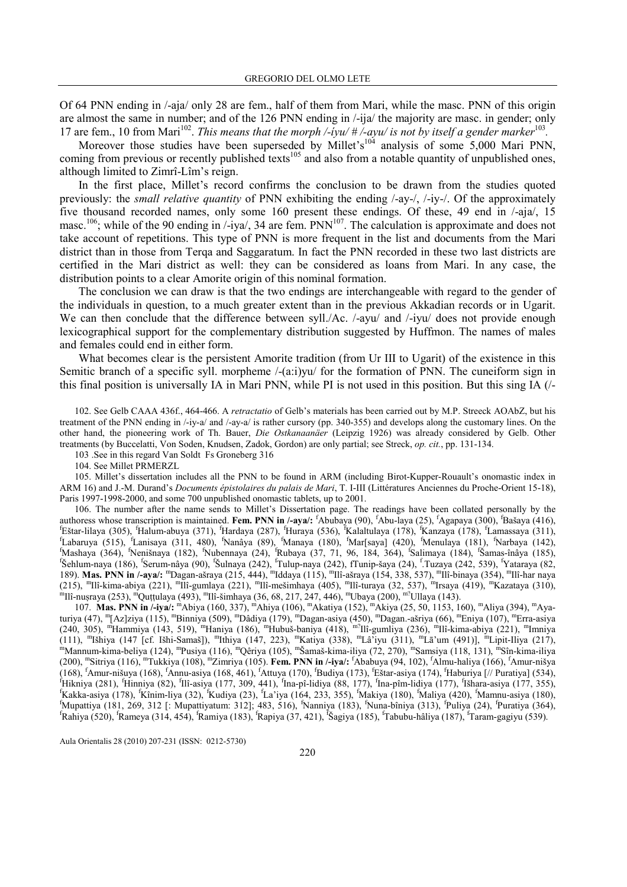Of 64 PNN ending in /-aja/ only 28 are fem., half of them from Mari, while the masc. PNN of this origin are almost the same in number; and of the 126 PNN ending in /-ija/ the majority are masc. in gender; only 17 are fem., 10 from Mari<sup>102</sup>. This means that the morph /-iyu/  $\#$  /-ayu/ is not by itself a gender marker<sup>103</sup>.

Moreover those studies have been superseded by Millet's<sup>104</sup> analysis of some 5,000 Mari PNN, coming from previous or recently published texts<sup>105</sup> and also from a notable quantity of unpublished ones, although limited to Zimrî-Lîm's reign.

In the first place, Millet's record confirms the conclusion to be drawn from the studies quoted previously: the small relative quantity of PNN exhibiting the ending /-ay-/, /-iy-/. Of the approximately five thousand recorded names, only some 160 present these endings. Of these, 49 end in /-aja/, 15 masc.<sup>106</sup>; while of the 90 ending in /-iya/, 34 are fem. PNN<sup>107</sup>. The calculation is approximate and does not take account of repetitions. This type of PNN is more frequent in the list and documents from the Mari district than in those from Terqa and Saggaratum. In fact the PNN recorded in these two last districts are certified in the Mari district as well: they can be considered as loans from Mari. In any case, the distribution points to a clear Amorite origin of this nominal formation.

The conclusion we can draw is that the two endings are interchangeable with regard to the gender of the individuals in question, to a much greater extent than in the previous Akkadian records or in Ugarit. We can then conclude that the difference between syll./Ac. /-ayu/ and /-iyu/ does not provide enough lexicographical support for the complementary distribution suggested by Huffmon. The names of males and females could end in either form.

What becomes clear is the persistent Amorite tradition (from Ur III to Ugarit) of the existence in this Semitic branch of a specific syll. morpheme  $/-(a:i)$  for the formation of PNN. The cuneiform sign in this final position is universally IA in Mari PNN, while PI is not used in this position. But this sing IA (/-

102. See Gelb CAAA 436f., 464-466. A retractatio of Gelb's materials has been carried out by M.P. Streeck AOAbZ, but his treatment of the PNN ending in /-iy-a/ and /-ay-a/ is rather cursory (pp. 340-355) and develops along the customary lines. On the other hand, the pioneering work of Th. Bauer, Die Ostkanaanäer (Leipzig 1926) was already considered by Gelb. Other treatments (by Buccelatti, Von Soden, Knudsen, Zadok, Gordon) are only partial; see Streck, op. cit., pp. 131-134.

103 .See in this regard Van Soldt Fs Groneberg 316

104. See Millet PRMERZL

105. Millet's dissertation includes all the PNN to be found in ARM (including Birot-Kupper-Rouault's onomastic index in ARM 16) and J.-M. Durand's Documents épistolaires du palais de Mari, T. I-III (Littératures Anciennes du Proche-Orient 15-18), Paris 1997-1998-2000, and some 700 unpublished onomastic tablets, up to 2001.

106. The number after the name sends to Millet's Dissertation page. The readings have been collated personally by the authoress whose transcription is maintained. Fem. PNN in /-aya/: 'Abubaya (90), 'Abu-laya (25), 'Agapaya (300), 'Bašaya (416), <sup>f</sup>Eštar-lilaya (305), <sup>f</sup>Halum-abuya (371), <sup>f</sup>Hardaya (287), <sup>f</sup>Huraya (536), <sup>f</sup>Kalaltulaya (178), <sup>f</sup>Kanzaya (178), <sup>f</sup>Lamassaya (311), <sup>f</sup>Labaruya (515), <sup>f</sup>Lanisaya (311, 480), <sup>f</sup>Nanâya (89), <sup>f</sup>Manaya (180), <sup>f</sup>Mar[saya] (420), <sup>f</sup>Menulaya (181), <sup>f</sup>Narbaya (142), <sup>f</sup>Mashaya (364), <sup>f</sup>Nenišnaya (182), <sup>f</sup>Nubennaya (24), <sup>f</sup>Rubaya (37, 71, 96, 184, 364), <sup>f</sup> Salimaya (184), <sup>f</sup> Šamas-înâya (185), f Šehlum-naya (186), <sup>f</sup> Serum-nâya (90), <sup>f</sup> Šulnaya (242), <sup>f</sup>Tulup-naya (242), fTunip-šaya (24), <sup>f</sup> .Tuzaya (242, 539), <sup>f</sup>Yataraya (82, 189). Mas. PNN in /-aya/: "Dagan-ašraya (215, 444), "Iddaya (115), "Ilî-ašraya (154, 338, 537), "Ilî-binaya (354), "Ilî-har naya (215), "Ilî-kima-abiya (221), "Ilî-gumlaya (221), "Ilî-mešimhaya (405), "Ilî-turaya (32, 537), "Irsaya (419), "Kazataya (310), "Ilî-mešimhaya (405), "Ilî-turaya (32, 537), "Irsaya (419), "Kazataya (310), "Ilî-simhaya (36,

107. Mas. PNN in /-iya/: "Abiya (160, 337), "Ahiya (106), "Akatiya (152), "Akiya (25, 50, 1153, 160), "Aliya (394), "Ayaturiya (47), <sup>m</sup> [Az]ziya (115), <sup>m</sup>Binniya (509), <sup>m</sup>Dâdiya (179), <sup>m</sup>Dagan-asiya (450), <sup>m</sup>Dagan.-ašriya (66), <sup>m</sup>Eniya (107), <sup>m</sup>Erra-asiya (240, 305), <sup>m</sup>Hammiya (143, 519), <sup>m</sup>Haniya (186), <sup>m</sup>Hubuš-baniya (418), <sup>m?</sup>Ilî-gumliya (236), <sup>m</sup>Ilî-kima-abiya (221), <sup>m</sup>Imniya (111), <sup>m</sup> Išhiya (147 [cf. Išhi-Samaš]), <sup>m</sup> Ithiya (147, 223), <sup>m</sup>Katiya (338), <sup>m</sup>Lâ'iyu (311), <sup>m</sup>Lā'um (491)], <sup>m</sup>Lipit-Iliya (217), <sup>m</sup>Mannum-kima-beliya (124), <sup>m</sup>Pusiya (116), <sup>m</sup>Qêriya (105), <sup>m</sup>Šamaš-kima-iliya (72, 270), <sup>m</sup>Samsiya (118, 131), <sup>m</sup>Sîn-kima-iliya (200), <sup>m</sup>Sitriya (116), <sup>m</sup>Tukkiya (108), <sup>m</sup>Zimriya (105). **Fem. PNN in /-iya/:** <sup>f</sup>Ababuya (94, 102), <sup>f</sup>Almu-haliya (166), <sup>f</sup>Amur-nišya (168), <sup>f</sup>Amur-nišuya (168), <sup>f</sup>Annu-asiya (168, 461), <sup>f</sup>Attuya (170), <sup>f</sup>Budiya (173), <sup>f</sup>Eštar-asiya (174), <sup>f</sup>Haburiya [// Puratiya] (534), <sup>f</sup>Hikniya (281), <sup>f</sup>Hinniya (82), <sup>f</sup>Ilî-asiya (177, 309, 441), <sup>f</sup>Ina-pî-lidiya (88, 177), <sup>f</sup>Ina-pîm-lidiya (177), <sup>f</sup>Išhara-asiya (177, 355), <sup>f</sup>Kakka-asiya (178), <sup>f</sup>Kînim-liya (32), <sup>f</sup>Kudiya (23), <sup>f</sup>La'iya (164, 233, 355), <sup>f</sup>Makiya (180), <sup>f</sup>Maliya (420), <sup>f</sup>Mamnu-asiya (180), <sup>f</sup>Mupattiya (181, 269, 312 [: Mupattiyatum: 312]; 483, 516), <sup>f</sup>Nanniya (183), <sup>f</sup>Nuna-bîniya (313), <sup>f</sup> Puliya (24), <sup>f</sup> Puratiya (364), <sup>f</sup>Rahiya (520), <sup>f</sup>Rameya (314, 454), <sup>f</sup>Ramiya (183), <sup>f</sup>Rapiya (37, 421), <sup>f</sup> Šagiya (185), <sup>f</sup>Tabubu-hâliya (187), <sup>f</sup>Taram-gagiyu (539).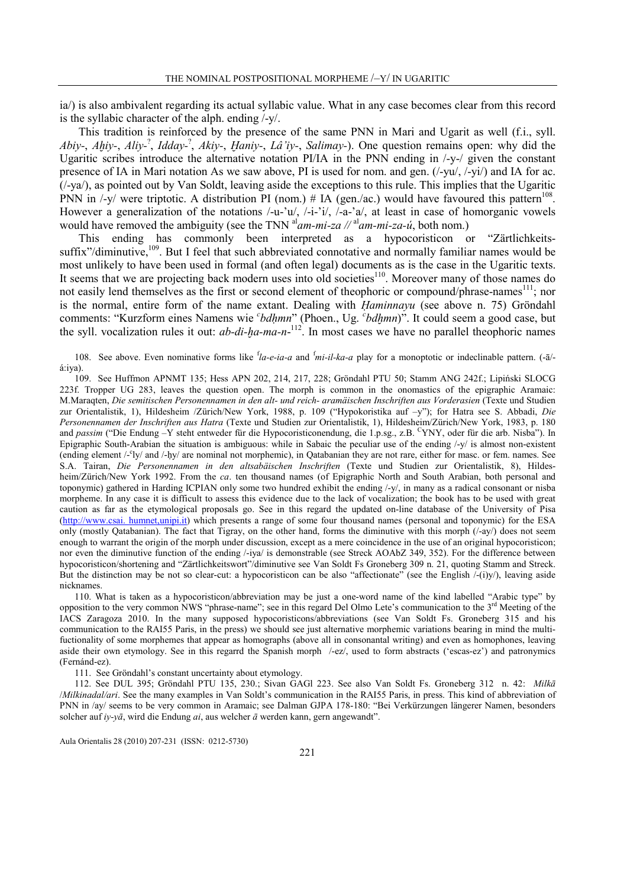ia/) is also ambivalent regarding its actual syllabic value. What in any case becomes clear from this record is the syllabic character of the alph. ending /-y/.

This tradition is reinforced by the presence of the same PNN in Mari and Ugarit as well (f.i., syll. Abiy-, Ahiy-, Aliy-<sup>?</sup>, Idday-<sup>?</sup>, Akiy-, Haniy-, Lâ'iy-, Salimay-). One question remains open: why did the Ugaritic scribes introduce the alternative notation PI/IA in the PNN ending in /-y-/ given the constant presence of IA in Mari notation As we saw above, PI is used for nom. and gen. (/-yu/, /-yi/) and IA for ac.  $(1-ya)$ , as pointed out by Van Soldt, leaving aside the exceptions to this rule. This implies that the Ugaritic PNN in  $\sqrt{-y}$  were triptotic. A distribution PI (nom.) # IA (gen./ac.) would have favoured this pattern<sup>108</sup>. However a generalization of the notations /-u-'u/, /-i-'i/, /-a-'a/, at least in case of homorganic vowels would have removed the ambiguity (see the TNN  $a^1$ am-mi-za // $a^1$ am-mi-za-ú, both nom.)

This ending has commonly been interpreted as a hypocoristicon or "Zärtlichkeitssuffix"/diminutive,<sup>109</sup>. But I feel that such abbreviated connotative and normally familiar names would be most unlikely to have been used in formal (and often legal) documents as is the case in the Ugaritic texts. It seems that we are projecting back modern uses into old societies<sup>110</sup>. Moreover many of those names do not easily lend themselves as the first or second element of theophoric or compound/phrase-names<sup>111</sup>; nor is the normal, entire form of the name extant. Dealing with Ḥaminnayu (see above n. 75) Gröndahl comments: "Kurzform eines Namens wie *cbdhmn*" (Phoen., Ug. *cbdhmn*)". It could seem a good case, but the syll. vocalization rules it out:  $ab$ -di- $\eta$ a-ma-n-<sup>112</sup>. In most cases we have no parallel theophoric names

108. See above. Even nominative forms like  $^f$ la-e-ia-a and  $^f$ mi-il-ka-a play for a monoptotic or indeclinable pattern. (- $\bar{a}$ )á:iya).

109. See Huffmon APNMT 135; Hess APN 202, 214, 217, 228; Gröndahl PTU 50; Stamm ANG 242f.; Lipiński SLOCG 223f. Tropper UG 283, leaves the question open. The morph is common in the onomastics of the epigraphic Aramaic: M.Maraqten, Die semitischen Personennamen in den alt- und reich- aramäischen Inschriften aus Vorderasien (Texte und Studien zur Orientalistik, 1), Hildesheim /Zürich/New York, 1988, p. 109 ("Hypokoristika auf –y"); for Hatra see S. Abbadi, Die Personennamen der Inschriften aus Hatra (Texte und Studien zur Orientalistik, 1), Hildesheim/Zürich/New York, 1983, p. 180 and passim ("Die Endung –Y steht entweder für die Hypocoristiconendung, die 1.p.sg., z.B. <sup>C</sup>YNY, oder für die arb. Nisba"). In Epigraphic South-Arabian the situation is ambiguous: while in Sabaic the peculiar use of the ending /-y/ is almost non-existent (ending element /-<sup>c</sup>ly/ and /-ḥy/ are nominal not morphemic), in Qatabanian they are not rare, either for masc. or fem. names. See S.A. Tairan, Die Personennamen in den altsabäischen Inschriften (Texte und Studien zur Orientalistik, 8), Hildesheim/Zürich/New York 1992. From the ca. ten thousand names (of Epigraphic North and South Arabian, both personal and toponymic) gathered in Harding ICPIAN only some two hundred exhibit the ending /-y/, in many as a radical consonant or nisba morpheme. In any case it is difficult to assess this evidence due to the lack of vocalization; the book has to be used with great caution as far as the etymological proposals go. See in this regard the updated on-line database of the University of Pisa (http://www.csai. humnet,unipi.it) which presents a range of some four thousand names (personal and toponymic) for the ESA only (mostly Qatabanian). The fact that Tigray, on the other hand, forms the diminutive with this morph  $(1-ay)$  does not seem enough to warrant the origin of the morph under discussion, except as a mere coincidence in the use of an original hypocoristicon; nor even the diminutive function of the ending /-iya/ is demonstrable (see Streck AOAbZ 349, 352). For the difference between hypocoristicon/shortening and "Zärtlichkeitswort"/diminutive see Van Soldt Fs Groneberg 309 n. 21, quoting Stamm and Streck. But the distinction may be not so clear-cut: a hypocoristicon can be also "affectionate" (see the English /-(i)y/), leaving aside nicknames.

110. What is taken as a hypocoristicon/abbreviation may be just a one-word name of the kind labelled "Arabic type" by opposition to the very common NWS "phrase-name"; see in this regard Del Olmo Lete's communication to the 3<sup>rd</sup> Meeting of the IACS Zaragoza 2010. In the many supposed hypocoristicons/abbreviations (see Van Soldt Fs. Groneberg 315 and his communication to the RAI55 Paris, in the press) we should see just alternative morphemic variations bearing in mind the multifuctionality of some morphemes that appear as homographs (above all in consonantal writing) and even as homophones, leaving aside their own etymology. See in this regarrd the Spanish morph /-ez/, used to form abstracts ('escas-ez') and patronymics (Fernánd-ez).

111. See Gröndahl's constant uncertainty about etymology.

112. See DUL 395; Gröndahl PTU 135, 230.; Sivan GAGl 223. See also Van Soldt Fs. Groneberg 312 n. 42: Milkā /Milkinadal/ari. See the many examples in Van Soldt's communication in the RAI55 Paris, in press. This kind of abbreviation of PNN in /ay/ seems to be very common in Aramaic; see Dalman GJPA 178-180: "Bei Verkürzungen längerer Namen, besonders solcher auf iy-yā, wird die Endung ai, aus welcher  $\bar{a}$  werden kann, gern angewandt".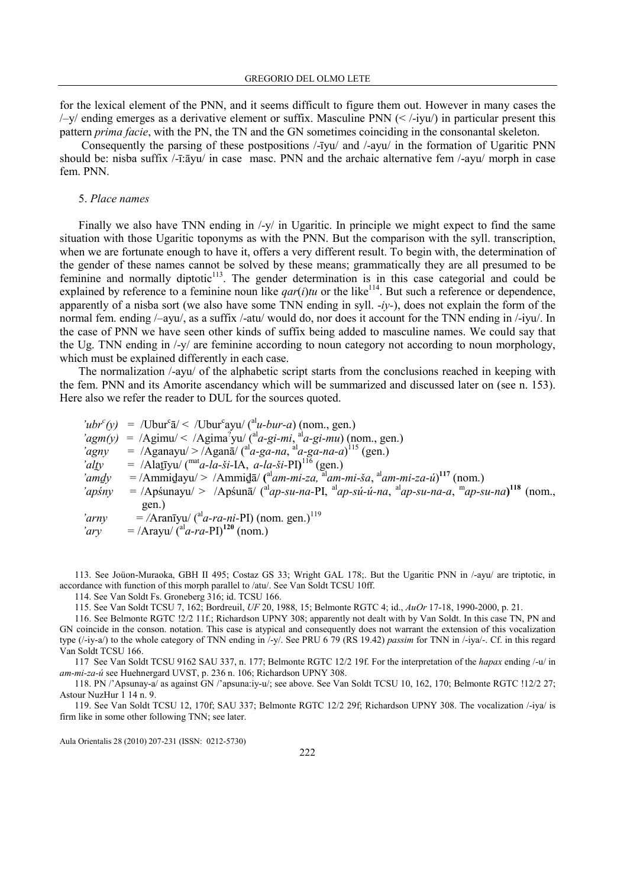for the lexical element of the PNN, and it seems difficult to figure them out. However in many cases the  $\frac{1}{2}$  ending emerges as a derivative element or suffix. Masculine PNN ( $\lt$  /-iyu/) in particular present this pattern *prima facie*, with the PN, the TN and the GN sometimes coinciding in the consonantal skeleton.

 Consequently the parsing of these postpositions /-īyu/ and /-ayu/ in the formation of Ugaritic PNN should be: nisba suffix /-ī:āyu/ in case masc. PNN and the archaic alternative fem /-ayu/ morph in case fem. PNN.

#### 5. Place names

Finally we also have TNN ending in /-y/ in Ugaritic. In principle we might expect to find the same situation with those Ugaritic toponyms as with the PNN. But the comparison with the syll. transcription, when we are fortunate enough to have it, offers a very different result. To begin with, the determination of the gender of these names cannot be solved by these means; grammatically they are all presumed to be feminine and normally diptotic<sup>113</sup>. The gender determination is in this case categorial and could be explained by reference to a feminine noun like  $qar(i)tu$  or the like<sup>114</sup>. But such a reference or dependence, apparently of a nisba sort (we also have some TNN ending in syll.  $-iy$ -), does not explain the form of the normal fem. ending /–ayu/, as a suffix /-atu/ would do, nor does it account for the TNN ending in /-iyu/. In the case of PNN we have seen other kinds of suffix being added to masculine names. We could say that the Ug. TNN ending in /-y/ are feminine according to noun category not according to noun morphology, which must be explained differently in each case.

The normalization /-ayu/ of the alphabetic script starts from the conclusions reached in keeping with the fem. PNN and its Amorite ascendancy which will be summarized and discussed later on (see n. 153). Here also we refer the reader to DUL for the sources quoted.

'ubr<sup>c</sup>(y) = /Ubur<sup>c</sup> $\bar{a}$ /< /Ubur<sup>c</sup>ayu/(<sup>al</sup>u-bur-a)(nom., gen.)  $\text{logm}(y)$  = /Agimu/ < /Agima<sup>?</sup>yu/ (<sup>al</sup>a-gi-mi, <sup>al</sup>a-gi-mu) (nom., gen.) 'agny = /Aganayu/>/Aganā/ $\binom{al}{a}$ -ga-na,  $al$ a-ga-na-a)<sup>115</sup> (gen.) 'alty = /Alatīyu/ ( $\frac{\text{mat}}{a}$ -la-ši-IA, a-la-ši-PI)<sup>116</sup> (gen.) 'amdy = /Ammidayu/> /Ammida/ ( $\alpha$ <sup>al</sup>am-mi-za,  $\alpha$ <sup>al</sup>am-mi-ša,  $\alpha$ <sup>al</sup>am-mi-za-ú)<sup>117</sup> (nom.) 'apśny = /Apśunayu/ > /Apśunā/ ( $a^{\text{al}}$ ap-su-na-PI,  $a^{\text{al}}$ ap-sú-ú-na,  $a^{\text{al}}$ ap-su-na-a,  $a^{\text{m}}$ ap-su-na)<sup>118</sup> (nom., gen.) 'arny = /Aranīyu/  $\binom{a}{a}$ -ra-ni-PI) (nom. gen.)<sup>119</sup> 'ary = /Arayu/ $\text{a}^{\text{al}}$ a-ra-PI)<sup>120</sup> (nom.)

113. See Joüon-Muraoka, GBH II 495; Costaz GS 33; Wright GAL 178;. But the Ugaritic PNN in /-ayu/ are triptotic, in accordance with function of this morph parallel to /atu/. See Van Soldt TCSU 10ff.

114. See Van Soldt Fs. Groneberg 316; id. TCSU 166.

115. See Van Soldt TCSU 7, 162; Bordreuil, UF 20, 1988, 15; Belmonte RGTC 4; id., AuOr 17-18, 1990-2000, p. 21.

116. See Belmonte RGTC !2/2 11f.; Richardson UPNY 308; apparently not dealt with by Van Soldt. In this case TN, PN and GN coincide in the conson. notation. This case is atypical and consequently does not warrant the extension of this vocalization type  $(\frac{\text{log } \mu}{\text{log } \mu})$  to the whole category of TNN ending in  $\frac{\mu}{\text{log } \mu}$ . See PRU 6 79 (RS 19.42) *passim* for TNN in  $\frac{\mu}{\text{log } \mu}$ . Cf. in this regard Van Soldt TCSU 166.

117 See Van Soldt TCSU 9162 SAU 337, n. 177; Belmonte RGTC 12/2 19f. For the interpretation of the hapax ending /-u/ in am-mi-za-ú see Huehnergard UVST, p. 236 n. 106; Richardson UPNY 308.

118. PN /'Apsunay-a/ as against GN /'apsuna:iy-u/; see above. See Van Soldt TCSU 10, 162, 170; Belmonte RGTC !12/2 27; Astour NuzHur 1 14 n. 9.

119. See Van Soldt TCSU 12, 170f; SAU 337; Belmonte RGTC 12/2 29f; Richardson UPNY 308. The vocalization /-iya/ is firm like in some other following TNN; see later.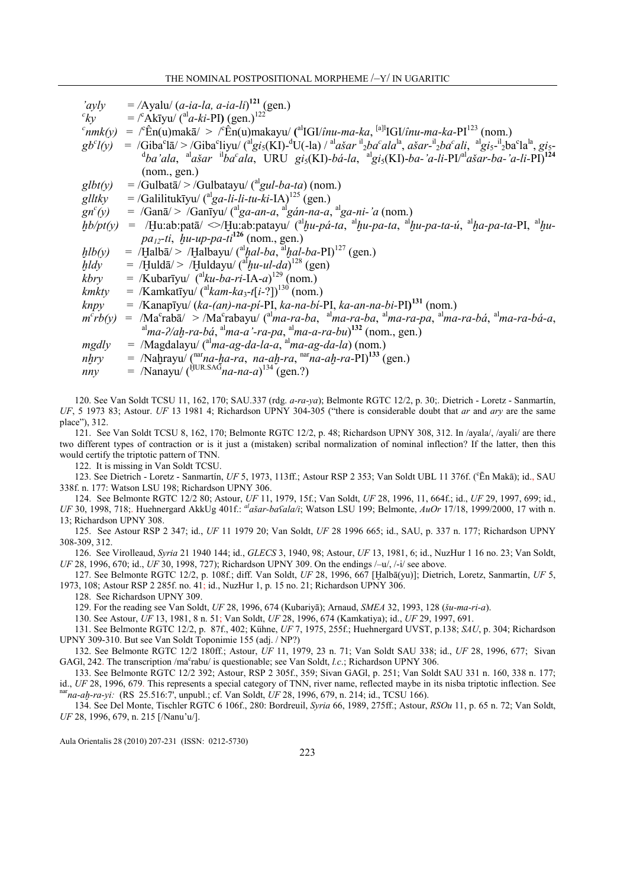| 'ayly                | $=$ /Ayalu/ ( <i>a-ia-la</i> , <i>a-ia-li</i> ) <sup>121</sup> (gen.)                                                                                                                                                                                                                                                                                                   |
|----------------------|-------------------------------------------------------------------------------------------------------------------------------------------------------------------------------------------------------------------------------------------------------------------------------------------------------------------------------------------------------------------------|
| ${}^{c}k$ y          | $=$ $\int^c$ Akīyu/ ( <sup>al</sup> a-ki-PI) (gen.) <sup>122</sup>                                                                                                                                                                                                                                                                                                      |
|                      | $\epsilon_{nmk}(y) = \sqrt{\hat{\epsilon}} n(u) m a k \bar{a}$ > $\sqrt{\hat{\epsilon}} n(u) m a k a y u'$ ( <sup>al</sup> IGI/ <i>inu-ma-ka</i> , <sup>[a]</sup> <sup>1</sup> IGI/ <i>inu-ma-ka</i> -PI <sup>123</sup> (nom.)                                                                                                                                          |
| gb <sup>c</sup> l(y) | = /Giba <sup>c</sup> lā/ > /Giba <sup>c</sup> liyu/ ( <sup>al</sup> gi <sub>5</sub> (KI)- <sup>d</sup> U(-la) / <sup>al</sup> ašar <sup>il</sup> <sub>2</sub> ba <sup>c</sup> ala <sup>la</sup> , ašar- <sup>il</sup> <sub>2</sub> ba <sup>c</sup> ali, <sup>al</sup> gi <sub>5</sub> - <sup>il</sup> <sub>2</sub> ba <sup>c</sup> la <sup>la</sup> , gi <sub>5</sub> - |
|                      | $^{\rm d}ba'ala$ , $^{\rm al}a\check{a}ar \quad ^{\rm il}ba'ala$ , URU gi <sub>5</sub> (KI)-bá-la, $^{\rm al}$ gi <sub>5</sub> (KI)-ba-'a-li-PI/ <sup>al</sup> ašar-ba-'a-li-PI) <sup>124</sup>                                                                                                                                                                         |
|                      | (nom, gen.)                                                                                                                                                                                                                                                                                                                                                             |
| glbt(y)              | $=$ /Gulbata $\sqrt{ }$ > /Gulbatayu/ ( <sup>al</sup> gul-ba-ta) (nom.)                                                                                                                                                                                                                                                                                                 |
| glltky               | $=$ /Galilitukīyu/ ( <sup>al</sup> ga-li-li-tu-ki-IA) <sup>125</sup> (gen.)                                                                                                                                                                                                                                                                                             |
| $gn^c(y)$            | $=$ /Gan $\bar{a}$ /> /Ganiyu/ ( $a^{1}$ ga-an-a, $a^{1}$ gán-na-a, $a^{1}$ ga-ni-'a (nom.)                                                                                                                                                                                                                                                                             |
| hb/pt(y)             | = /Hu:ab:patā/ $\ll$ /Hu:ab:patayu/ ( $a^l$ hu-pá-ta, $a^l$ hu-pa-ta, $a^l$ hu-pa-ta-ú, $a^l$ ha-pa-ta-PI, $a^l$ hu-                                                                                                                                                                                                                                                    |
|                      | <i>pa<sub>12</sub>-ti</i> , <i>hu-up-pa-ti</i> <sup>126</sup> (nom., gen.)                                                                                                                                                                                                                                                                                              |
| $h\,(y)$             | = /Halbā/> /Halbayu/ ( <sup>al</sup> hal-ba, <sup>al</sup> hal-ba-PI) <sup>127</sup> (gen.)                                                                                                                                                                                                                                                                             |
| $h\,dy$              | $=$ /Huldā/ > /Huldayu/ $\binom{al}{}$ <i>lu-ul-da</i> ) <sup>128</sup> (gen)                                                                                                                                                                                                                                                                                           |
| kbry                 | $=$ /Kubarīyu/ ( <sup>al</sup> <i>ku-ba-ri-</i> IA- <i>a</i> ) <sup>129</sup> (nom.)                                                                                                                                                                                                                                                                                    |
| kmkty                | = /Kamkatīyu/ $({}^{al}kam-ka_{3}$ -t[i-?]) <sup>130</sup> (nom.)                                                                                                                                                                                                                                                                                                       |
| knpy                 | = /Kanapīyu/ (ka-(an)-na-pi-PI, ka-na-bi-PI, ka-an-na-bi-PI) <sup>131</sup> (nom.)                                                                                                                                                                                                                                                                                      |
| $m^crb(y)$           | $=$ /Ma <sup>c</sup> rabā/ > /Ma <sup>c</sup> rabayu/ ( <sup>al</sup> ma-ra-ba, <sup>al</sup> ma-ra-ba, <sup>al</sup> ma-ra-pa, <sup>al</sup> ma-ra-bá, <sup>al</sup> ma-ra-bá-a,                                                                                                                                                                                       |
|                      | $\alpha$ <sup>al</sup> ma-?/ah-ra-bá, $\alpha$ <sup>l</sup> ma-a '-ra-pa, $\alpha$ <sup>l</sup> ma-a-ra-bu) <sup>132</sup> (nom., gen.)                                                                                                                                                                                                                                 |
| mgdly                | $=$ /Magdalayu/ ( $a1$ <i>ma-ag-da-la-a</i> , $a1$ <i>ma-ag-da-la</i> ) (nom.)                                                                                                                                                                                                                                                                                          |
| nhry                 | = /Nahrayu/ $\int_a^{\text{nar}} n a$ -ha-ra, na-ah-ra, $\int_a^{\text{nar}} n a$ -ah-ra-PI) <sup>133</sup> (gen.)                                                                                                                                                                                                                                                      |
| nny                  | = /Nanayu/ $(\frac{HUR.SAG}{na-na-a})^{134}$ (gen.?)                                                                                                                                                                                                                                                                                                                    |

120. See Van Soldt TCSU 11, 162, 170; SAU.337 (rdg. a-ra-ya); Belmonte RGTC 12/2, p. 30;. Dietrich - Loretz - Sanmartín, UF, 5 1973 83; Astour. UF 13 1981 4; Richardson UPNY 304-305 ("there is considerable doubt that ar and ary are the same place"), 312.

121. See Van Soldt TCSU 8, 162, 170; Belmonte RGTC 12/2, p. 48; Richardson UPNY 308, 312. In /ayala/, /ayali/ are there two different types of contraction or is it just a (mistaken) scribal normalization of nominal inflection? If the latter, then this would certify the triptotic pattern of TNN.

122. It is missing in Van Soldt TCSU.

123. See Dietrich - Loretz - Sanmartín, UF 5, 1973, 113ff.; Astour RSP 2 353; Van Soldt UBL 11 376f. ('Ēn Makā); id., SAU 338f. n. 177: Watson LSU 198; Richardson UPNY 306.

124. See Belmonte RGTC 12/2 80; Astour, UF 11, 1979, 15f.; Van Soldt, UF 28, 1996, 11, 664f.; id., UF 29, 1997, 699; id., UF 30, 1998, 718;. Huehnergard AkkUg 401f.:  $a^l$ ašar-ba $\delta a$ la/i; Watson LSU 199; Belmonte,  $AuOr$  17/18, 1999/2000, 17 with n. 13; Richardson UPNY 308.

125. See Astour RSP 2 347; id., UF 11 1979 20; Van Soldt, UF 28 1996 665; id., SAU, p. 337 n. 177; Richardson UPNY 308-309, 312.

126. See Virolleaud, Syria 21 1940 144; id., GLECS 3, 1940, 98; Astour, UF 13, 1981, 6; id., NuzHur 1 16 no. 23; Van Soldt, UF 28, 1996, 670; id., UF 30, 1998, 727); Richardson UPNY 309. On the endings /–u/, /-i/ see above.

127. See Belmonte RGTC 12/2, p. 108f.; diff. Van Soldt, UF 28, 1996, 667 [Ḫalbā(yu)]; Dietrich, Loretz, Sanmartín, UF 5, 1973, 108; Astour RSP 2 285f. no. 41; id., NuzHur 1, p. 15 no. 21; Richardson UPNY 306.

128. See Richardson UPNY 309.

129. For the reading see Van Soldt, UF 28, 1996, 674 (Kubariyā); Arnaud, SMEA 32, 1993, 128 (šu-ma-ri-a).

130. See Astour, UF 13, 1981, 8 n. 51; Van Soldt, UF 28, 1996, 674 (Kamkatiya); id., UF 29, 1997, 691.

131. See Belmonte RGTC 12/2, p. 87f., 402; Kühne, UF 7, 1975, 255f.; Huehnergard UVST, p.138; SAU, p. 304; Richardson UPNY 309-310. But see Van Soldt Toponimie 155 (adj. / NP?)

132. See Belmonte RGTC 12/2 180ff.; Astour, UF 11, 1979, 23 n. 71; Van Soldt SAU 338; id., UF 28, 1996, 677; Sivan GAGl, 242. The transcription /ma°rabu/ is questionable; see Van Soldt, l.c.; Richardson UPNY 306.

133. See Belmonte RGTC 12/2 392; Astour, RSP 2 305f., 359; Sivan GAGl, p. 251; Van Soldt SAU 331 n. 160, 338 n. 177; id., UF 28, 1996, 679. This represents a special category of TNN, river name, reflected maybe in its nisba triptotic inflection. See  $narg_{rad}$ -ah-ra-yi: (RS 25.516:7', unpubl.; cf. Van Soldt, UF 28, 1996, 679, n. 214; id., TCSU 166).

134. See Del Monte, Tischler RGTC 6 106f., 280: Bordreuil, Syria 66, 1989, 275ff.; Astour, RSOu 11, p. 65 n. 72; Van Soldt, UF 28, 1996, 679, n. 215 [/Nanu'u/].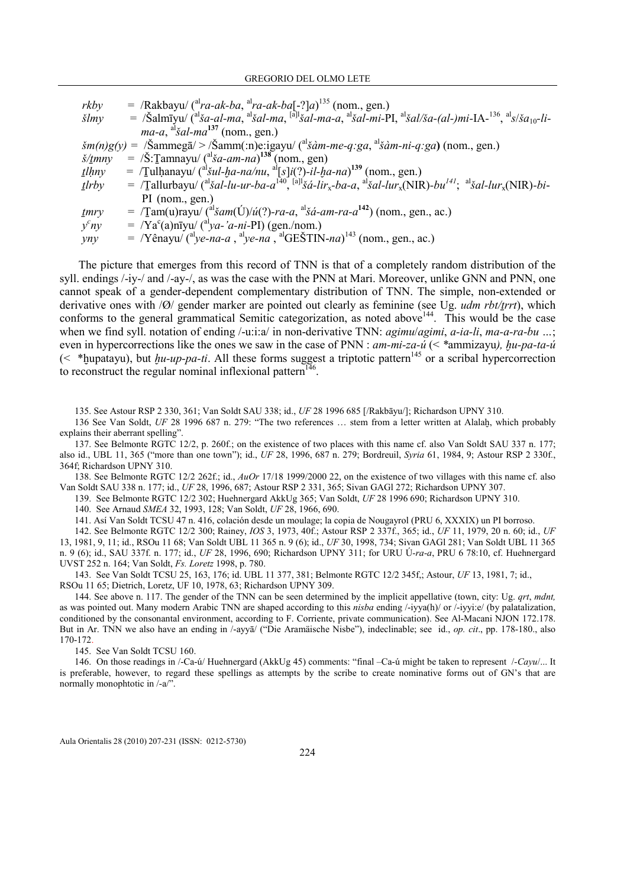| rkby                          | $=$ /Rakbayu/ ( <sup>al</sup> ra-ak-ba, <sup>al</sup> ra-ak-ba[-?]a) <sup>135</sup> (nom., gen.)                                                                                                                                                                                                                                                 |
|-------------------------------|--------------------------------------------------------------------------------------------------------------------------------------------------------------------------------------------------------------------------------------------------------------------------------------------------------------------------------------------------|
| $\check{sl}m$ y               | = $\delta$ /Salmīyu/ ( <sup>al</sup> ša-al-ma, <sup>al</sup> šal-ma, <sup>[a]l</sup> šal-ma-a, <sup>al</sup> šal-mi-PI, <sup>al</sup> šal/ša-(al-)mi-IA- <sup>136</sup> , <sup>al</sup> s/ša <sub>10</sub> -li-                                                                                                                                  |
|                               | $ma-a$ , $\mathrm{a}^{15}$ <i>sal-ma</i> <sup>137</sup> (nom., gen.)                                                                                                                                                                                                                                                                             |
|                               | $\sin(n)g(y) = \sin(n)g(x)$ > $\sin(m)g(x)$ = $\sin(m)g(x)$ = $\sin(m)g(x)$ = $\sin(m)g(x)$ = $\sin(m)g(x)$ = $\sin(m)g(x)$ = $\sin(m)g(x)$ = $\sin(m)g(x)$ = $\sin(m)g(x)$ = $\sin(m)g(x)$ = $\sin(m)g(x)$ = $\sin(m)g(x)$ = $\sin(m)g(x)$ = $\sin(m)g(x)$ = $\sin(m)g(x)$ = $\sin(m)g(x)$ = $\sin(m)g(x)$                                      |
| $\check{s}/\underline{t}$ mny | $=$ /Š:Tamnayu/ ( <sup>al</sup> ša-am-na) <sup>138</sup> (nom., gen)                                                                                                                                                                                                                                                                             |
| $t$ lhny                      | = $\text{Tulhanayu} \left( \frac{a_1}{2} a - na/nu \right)$ , $\frac{a_1}{2} \left[ s \right] i \left( \frac{a_2}{2} \right) - il - ba - na \right)$ (nom., gen.)                                                                                                                                                                                |
| tlrby                         | = $\sqrt{\text{I}}$ allurbayu/ $\sqrt{\text{a}^{\text{I}}}\text{a}a\text{I}-\text{u}-\text{u}r$ -ba- $a^{[40]}$ , $\sqrt{\text{a}^{\text{II}}}\text{a}a\text{I}-\text{u}r_x$ -ba- $a$ , $\sqrt{\text{a}^{\text{I}}}\text{a}a\text{I}-\text{u}r_x(NIR)$ -bu <sup>141</sup> ; $\sqrt{\text{a}^{\text{II}}}\text{a}a\text{I}-\text{u}r_x(NIR)$ -bi- |
|                               | $PI$ (nom., gen.)                                                                                                                                                                                                                                                                                                                                |
| mry                           | = $\text{Tam}(u)$ rayu/ ( <sup>al</sup> šam(Ú)/ú(?)-ra-a, <sup>al</sup> šá-am-ra-a <sup>142</sup> ) (nom., gen., ac.)                                                                                                                                                                                                                            |
| $y^c ny$                      | $=$ /Ya <sup>c</sup> (a)nīyu/ ( <sup>at</sup> ya-'a-ni-PI) (gen./nom.)                                                                                                                                                                                                                                                                           |
| yny                           | = /Yênayu/ ( $\alpha$ <sup>l</sup> ye-na-a, $\alpha$ <sup>l</sup> ye-na, $\alpha$ <sup>l</sup> GEŠTIN-na) <sup>143</sup> (nom., gen., ac.)                                                                                                                                                                                                       |

The picture that emerges from this record of TNN is that of a completely random distribution of the syll. endings /-iy-/ and /-ay-/, as was the case with the PNN at Mari. Moreover, unlike GNN and PNN, one cannot speak of a gender-dependent complementary distribution of TNN. The simple, non-extended or derivative ones with  $\sqrt{Q}$  gender marker are pointed out clearly as feminine (see Ug. *udm rbt/trrt*), which conforms to the general grammatical Semitic categorization, as noted above<sup>144</sup>. This would be the case when we find syll. notation of ending /-u:i:a/ in non-derivative TNN: *agimu/agimi*, *a-ia-li*, *ma-a-ra-bu* ...; even in hypercorrections like the ones we saw in the case of PNN :  $am$ -mi-za-ú (< \*ammizayu),  $hu$ -pa-ta-ú (< \*bupatayu), but  $\mu u$ -up-pa-ti. All these forms suggest a triptotic pattern<sup>145</sup> or a scribal hypercorrection to reconstruct the regular nominal inflexional pattern<sup>146</sup>.

135. See Astour RSP 2 330, 361; Van Soldt SAU 338; id., UF 28 1996 685 [/Rakbāyu/]; Richardson UPNY 310.

136 See Van Soldt, UF 28 1996 687 n. 279: "The two references ... stem from a letter written at Alalah, which probably explains their aberrant spelling".

137. See Belmonte RGTC 12/2, p. 260f.; on the existence of two places with this name cf. also Van Soldt SAU 337 n. 177; also id., UBL 11, 365 ("more than one town"); id., UF 28, 1996, 687 n. 279; Bordreuil, Syria 61, 1984, 9; Astour RSP 2 330f., 364f; Richardson UPNY 310.

138. See Belmonte RGTC 12/2 262f.; id., AuOr 17/18 1999/2000 22, on the existence of two villages with this name cf. also Van Soldt SAU 338 n. 177; id., UF 28, 1996, 687; Astour RSP 2 331, 365; Sivan GAGl 272; Richardson UPNY 307.

139. See Belmonte RGTC 12/2 302; Huehnergard AkkUg 365; Van Soldt, UF 28 1996 690; Richardson UPNY 310.

140. See Arnaud SMEA 32, 1993, 128; Van Soldt, UF 28, 1966, 690.

141. Así Van Soldt TCSU 47 n. 416, colación desde un moulage; la copia de Nougayrol (PRU 6, XXXIX) un PI borroso.

142. See Belmonte RGTC 12/2 300; Rainey, IOS 3, 1973, 40f.; Astour RSP 2 337f., 365; id., UF 11, 1979, 20 n. 60; id., UF 13, 1981, 9, 11; id., RSOu 11 68; Van Soldt UBL 11 365 n. 9 (6); id., UF 30, 1998, 734; Sivan GAGl 281; Van Soldt UBL 11 365 n. 9 (6); id., SAU 337f. n. 177; id., UF 28, 1996, 690; Richardson UPNY 311; for URU Ú-ra-a, PRU 6 78:10, cf. Huehnergard UVST 252 n. 164; Van Soldt, Fs. Loretz 1998, p. 780.

143. See Van Soldt TCSU 25, 163, 176; id. UBL 11 377, 381; Belmonte RGTC 12/2 345f,; Astour, UF 13, 1981, 7; id., RSOu 11 65; Dietrich, Loretz, UF 10, 1978, 63; Richardson UPNY 309.

144. See above n. 117. The gender of the TNN can be seen determined by the implicit appellative (town, city: Ug. qrt, mdnt, as was pointed out. Many modern Arabic TNN are shaped according to this nisba ending /-iyya(h)/ or /-iyyi:e/ (by palatalization, conditioned by the consonantal environment, according to F. Corriente, private communication). See Al-Macani NJON 172.178. But in Ar. TNN we also have an ending in /-ayyā/ ("Die Aramäische Nisbe"), indeclinable; see id., op. cit., pp. 178-180., also 170-172.

145. See Van Soldt TCSU 160.

146. On those readings in /-Ca-ú/ Huehnergard (AkkUg 45) comments: "final –Ca-ú might be taken to represent /-Cayu/... It is preferable, however, to regard these spellings as attempts by the scribe to create nominative forms out of GN's that are normally monophtotic in /-a/".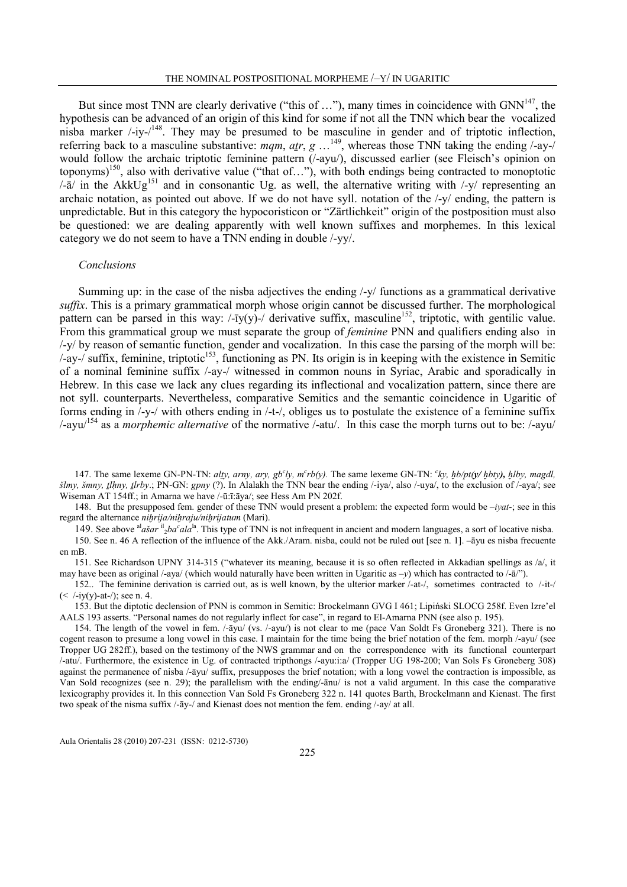But since most TNN are clearly derivative ("this of  $\dots$ "), many times in coincidence with GNN<sup>147</sup>, the hypothesis can be advanced of an origin of this kind for some if not all the TNN which bear the vocalized nisba marker  $\frac{1}{148}$ . They may be presumed to be masculine in gender and of triptotic inflection, referring back to a masculine substantive: mqm,  $a_{rr}$ , g  $\dots^{149}$ , whereas those TNN taking the ending /-ay-/ would follow the archaic triptotic feminine pattern (/-ayu/), discussed earlier (see Fleisch's opinion on toponyms)<sup>150</sup>, also with derivative value ("that of..."), with both endings being contracted to monoptotic  $\sqrt{a}$  in the AkkUg<sup>151</sup> and in consonantic Ug. as well, the alternative writing with  $\sqrt{y}$  representing an archaic notation, as pointed out above. If we do not have syll. notation of the /-y/ ending, the pattern is unpredictable. But in this category the hypocoristicon or "Zärtlichkeit" origin of the postposition must also be questioned: we are dealing apparently with well known suffixes and morphemes. In this lexical category we do not seem to have a TNN ending in double /-yy/.

#### Conclusions

Summing up: in the case of the nisba adjectives the ending /-y/ functions as a grammatical derivative suffix. This is a primary grammatical morph whose origin cannot be discussed further. The morphological pattern can be parsed in this way:  $-\overline{i}y(y)$ -/ derivative suffix, masculine<sup>152</sup>, triptotic, with gentilic value. From this grammatical group we must separate the group of *feminine* PNN and qualifiers ending also in /-y/ by reason of semantic function, gender and vocalization. In this case the parsing of the morph will be:  $/$ -ay- $/$  suffix, feminine, triptotic<sup>153</sup>, functioning as PN. Its origin is in keeping with the existence in Semitic of a nominal feminine suffix /-ay-/ witnessed in common nouns in Syriac, Arabic and sporadically in Hebrew. In this case we lack any clues regarding its inflectional and vocalization pattern, since there are not syll. counterparts. Nevertheless, comparative Semitics and the semantic coincidence in Ugaritic of forms ending in /-y-/ with others ending in /-t-/, obliges us to postulate the existence of a feminine suffix /-ayu/<sup>154</sup> as a morphemic alternative of the normative /-atu/. In this case the morph turns out to be: /-ayu/

147. The same lexeme GN-PN-TN: alty, arny, ary,  $gb<sup>c</sup>ly$ ,  $m<sup>c</sup>rb(y)$ . The same lexeme GN-TN:  $<sup>c</sup>ky$ ,  $gb/pt(y/bby)$ ,  $hlby$ , magdl,</sup> šlmy, šmny, tlhny, tlrby.; PN-GN: gpny (?). In Alalakh the TNN bear the ending /-iya/, also /-uya/, to the exclusion of /-aya/; see Wiseman AT 154ff.; in Amarna we have /-ū:ī:āya/; see Hess Am PN 202f.

148. But the presupposed fem. gender of these TNN would present a problem: the expected form would be  $-iyat-$ ; see in this regard the alternance *nihrija/nihraju/nihrijatum* (Mari).

149. See above  $a^l$  as ar  $a^l$   $b$  a<sup>la</sup>. This type of TNN is not infrequent in ancient and modern languages, a sort of locative nisba. 150. See n. 46 A reflection of the influence of the Akk./Aram. nisba, could not be ruled out [see n. 1]. –āyu es nisba frecuente en mB.

151. See Richardson UPNY 314-315 ("whatever its meaning, because it is so often reflected in Akkadian spellings as /a/, it may have been as original /-aya/ (which would naturally have been written in Ugaritic as  $-y$ ) which has contracted to /- $\bar{a}$ ).

152.. The feminine derivation is carried out, as is well known, by the ulterior marker /-at-/, sometimes contracted to /-it-/  $(<$  /-iy(y)-at-/); see n. 4.

153. But the diptotic declension of PNN is common in Semitic: Brockelmann GVG I 461; Lipiński SLOCG 258f. Even Izre'el AALS 193 asserts. "Personal names do not regularly inflect for case", in regard to El-Amarna PNN (see also p. 195).

154. The length of the vowel in fem. /-āyu/ (vs. /-ayu/) is not clear to me (pace Van Soldt Fs Groneberg 321). There is no cogent reason to presume a long vowel in this case. I maintain for the time being the brief notation of the fem. morph /-ayu/ (see Tropper UG 282ff.), based on the testimony of the NWS grammar and on the correspondence with its functional counterpart /-atu/. Furthermore, the existence in Ug. of contracted tripthongs /-ayu:i:a/ (Tropper UG 198-200; Van Sols Fs Groneberg 308) against the permanence of nisba /-āyu/ suffix, presupposes the brief notation; with a long vowel the contraction is impossible, as Van Sold recognizes (see n. 29); the parallelism with the ending/-ānu/ is not a valid argument. In this case the comparative lexicography provides it. In this connection Van Sold Fs Groneberg 322 n. 141 quotes Barth, Brockelmann and Kienast. The first two speak of the nisma suffix /-āy-/ and Kienast does not mention the fem. ending /-ay/ at all.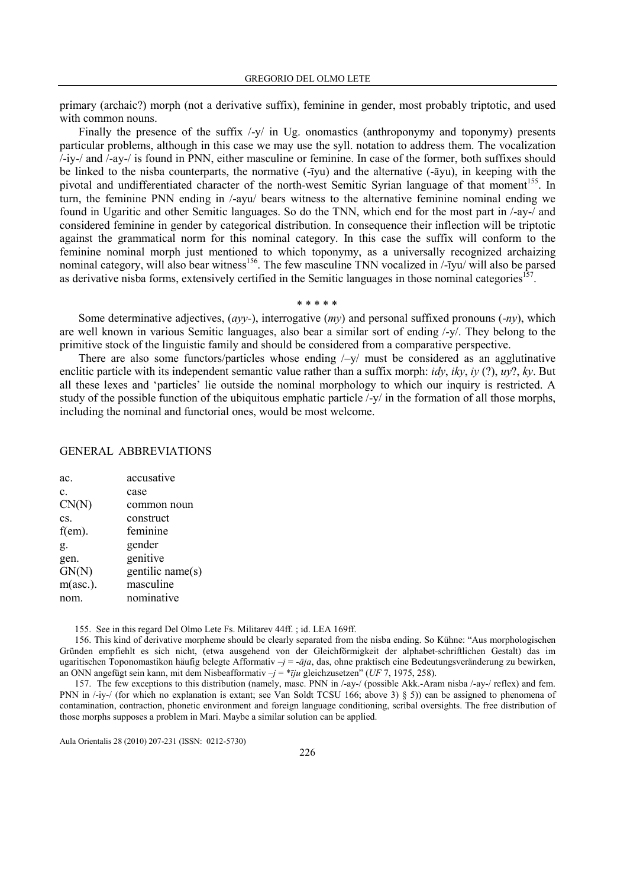primary (archaic?) morph (not a derivative suffix), feminine in gender, most probably triptotic, and used with common nouns.

Finally the presence of the suffix  $\frac{1}{y}$  in Ug. onomastics (anthroponymy and toponymy) presents particular problems, although in this case we may use the syll. notation to address them. The vocalization /-iy-/ and /-ay-/ is found in PNN, either masculine or feminine. In case of the former, both suffixes should be linked to the nisba counterparts, the normative (-īyu) and the alternative (-āyu), in keeping with the pivotal and undifferentiated character of the north-west Semitic Syrian language of that moment<sup>155</sup>. In turn, the feminine PNN ending in /-ayu/ bears witness to the alternative feminine nominal ending we found in Ugaritic and other Semitic languages. So do the TNN, which end for the most part in /-ay-/ and considered feminine in gender by categorical distribution. In consequence their inflection will be triptotic against the grammatical norm for this nominal category. In this case the suffix will conform to the feminine nominal morph just mentioned to which toponymy, as a universally recognized archaizing nominal category, will also bear witness<sup>156</sup>. The few masculine TNN vocalized in /-īyu/ will also be parsed as derivative nisba forms, extensively certified in the Semitic languages in those nominal categories<sup>157</sup>.

#### \* \* \* \* \*

Some determinative adjectives,  $(avy)$ , interrogative  $(my)$  and personal suffixed pronouns  $(-nv)$ , which are well known in various Semitic languages, also bear a similar sort of ending /-y/. They belong to the primitive stock of the linguistic family and should be considered from a comparative perspective.

There are also some functors/particles whose ending  $\frac{1}{x}$  must be considered as an agglutinative enclitic particle with its independent semantic value rather than a suffix morph:  $i dy$ ,  $iky$ ,  $iy$  (?),  $uv$ ?,  $ky$ . But all these lexes and 'particles' lie outside the nominal morphology to which our inquiry is restricted. A study of the possible function of the ubiquitous emphatic particle /-y/ in the formation of all those morphs, including the nominal and functorial ones, would be most welcome.

## GENERAL ABBREVIATIONS

| ac.       | accusative       |
|-----------|------------------|
| c.        | case             |
| CN(N)     | common noun      |
| CS.       | construct        |
| $f(em)$ . | feminine         |
| g.        | gender           |
| gen.      | genitive         |
| GN(N)     | gentilic name(s) |
| m(asc.).  | masculine        |
| nom.      | nominative       |

155. See in this regard Del Olmo Lete Fs. Militarev 44ff. ; id. LEA 169ff.

156. This kind of derivative morpheme should be clearly separated from the nisba ending. So Kühne: "Aus morphologischen Gründen empfiehlt es sich nicht, (etwa ausgehend von der Gleichförmigkeit der alphabet-schriftlichen Gestalt) das im ugaritischen Toponomastikon häufig belegte Afformativ  $-j = -\bar{a}j a$ , das, ohne praktisch eine Bedeutungsveränderung zu bewirken, an ONN angefügt sein kann, mit dem Nisbeafformativ  $-j = * \overline{i} j u$  gleichzusetzen" (UF 7, 1975, 258).

157. The few exceptions to this distribution (namely, masc. PNN in /-ay-/ (possible Akk.-Aram nisba /-ay-/ reflex) and fem. PNN in /-iy-/ (for which no explanation is extant; see Van Soldt TCSU 166; above 3) § 5)) can be assigned to phenomena of contamination, contraction, phonetic environment and foreign language conditioning, scribal oversights. The free distribution of those morphs supposes a problem in Mari. Maybe a similar solution can be applied.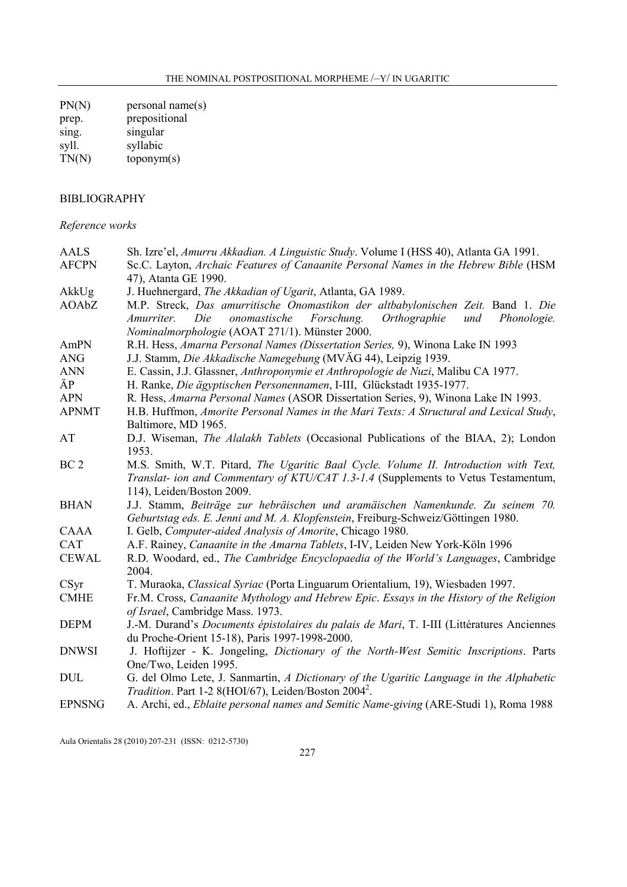$PN(N)$  personal name(s) prep. prepositional sing. singular syll. syllabic  $TN(N)$  toponym $(s)$ 

## BIBLIOGRAPHY

## Reference works

| <b>AALS</b>     | Sh. Izre'el, Amurru Akkadian. A Linguistic Study. Volume I (HSS 40), Atlanta GA 1991.             |
|-----------------|---------------------------------------------------------------------------------------------------|
| <b>AFCPN</b>    | Sc.C. Layton, Archaic Features of Canaanite Personal Names in the Hebrew Bible (HSM               |
|                 | 47), Atanta GE 1990.                                                                              |
| AkkUg           | J. Huehnergard, The Akkadian of Ugarit, Atlanta, GA 1989.                                         |
| AOAbZ           | M.P. Streck, Das amurritische Onomastikon der altbabylonischen Zeit. Band 1. Die                  |
|                 | onomastische<br>Forschung.<br>Orthographie<br>und<br>Die<br>Phonologie.<br>Amurriter.             |
|                 | Nominalmorphologie (AOAT 271/1). Münster 2000.                                                    |
| AmPN            | R.H. Hess, Amarna Personal Names (Dissertation Series, 9), Winona Lake IN 1993                    |
| <b>ANG</b>      | J.J. Stamm, Die Akkadische Namegebung (MVÄG 44), Leipzig 1939.                                    |
| <b>ANN</b>      | E. Cassin, J.J. Glassner, Anthroponymie et Anthropologie de Nuzi, Malibu CA 1977.                 |
| ÄP              | H. Ranke, Die ägyptischen Personennamen, I-III, Glückstadt 1935-1977.                             |
| <b>APN</b>      | R. Hess, Amarna Personal Names (ASOR Dissertation Series, 9), Winona Lake IN 1993.                |
| <b>APNMT</b>    | H.B. Huffmon, Amorite Personal Names in the Mari Texts: A Structural and Lexical Study,           |
|                 | Baltimore, MD 1965.                                                                               |
| AT              | D.J. Wiseman, <i>The Alalakh Tablets</i> (Occasional Publications of the BIAA, 2); London         |
|                 | 1953.                                                                                             |
| BC <sub>2</sub> | M.S. Smith, W.T. Pitard, The Ugaritic Baal Cycle. Volume II. Introduction with Text,              |
|                 | Translat- ion and Commentary of KTU/CAT 1.3-1.4 (Supplements to Vetus Testamentum,                |
|                 | 114), Leiden/Boston 2009.                                                                         |
| <b>BHAN</b>     | J.J. Stamm, Beiträge zur hebräischen und aramäischen Namenkunde. Zu seinem 70.                    |
|                 | Geburtstag eds. E. Jenni and M. A. Klopfenstein, Freiburg-Schweiz/Göttingen 1980.                 |
| <b>CAAA</b>     | I. Gelb, Computer-aided Analysis of Amorite, Chicago 1980.                                        |
| <b>CAT</b>      | A.F. Rainey, Canaanite in the Amarna Tablets, I-IV, Leiden New York-Köln 1996                     |
| <b>CEWAL</b>    | R.D. Woodard, ed., The Cambridge Encyclopaedia of the World's Languages, Cambridge                |
|                 | 2004.                                                                                             |
| CSyr            | T. Muraoka, <i>Classical Syriac</i> (Porta Linguarum Orientalium, 19), Wiesbaden 1997.            |
| <b>CMHE</b>     | Fr.M. Cross, Canaanite Mythology and Hebrew Epic. Essays in the History of the Religion           |
|                 | of Israel, Cambridge Mass. 1973.                                                                  |
| <b>DEPM</b>     | J.-M. Durand's <i>Documents épistolaires du palais de Mari</i> , T. I-III (Littératures Anciennes |
|                 | du Proche-Orient 15-18), Paris 1997-1998-2000.                                                    |
| <b>DNWSI</b>    | J. Hoftijzer - K. Jongeling, Dictionary of the North-West Semitic Inscriptions. Parts             |
|                 | One/Two, Leiden 1995.                                                                             |
| <b>DUL</b>      | G. del Olmo Lete, J. Sanmartín, A Dictionary of the Ugaritic Language in the Alphabetic           |
|                 | <i>Tradition.</i> Part 1-2 8(HOI/67), Leiden/Boston 2004 <sup>2</sup> .                           |
| <b>EPNSNG</b>   | A. Archi, ed., <i>Eblaite personal names and Semitic Name-giving</i> (ARE-Studi 1), Roma 1988     |
|                 |                                                                                                   |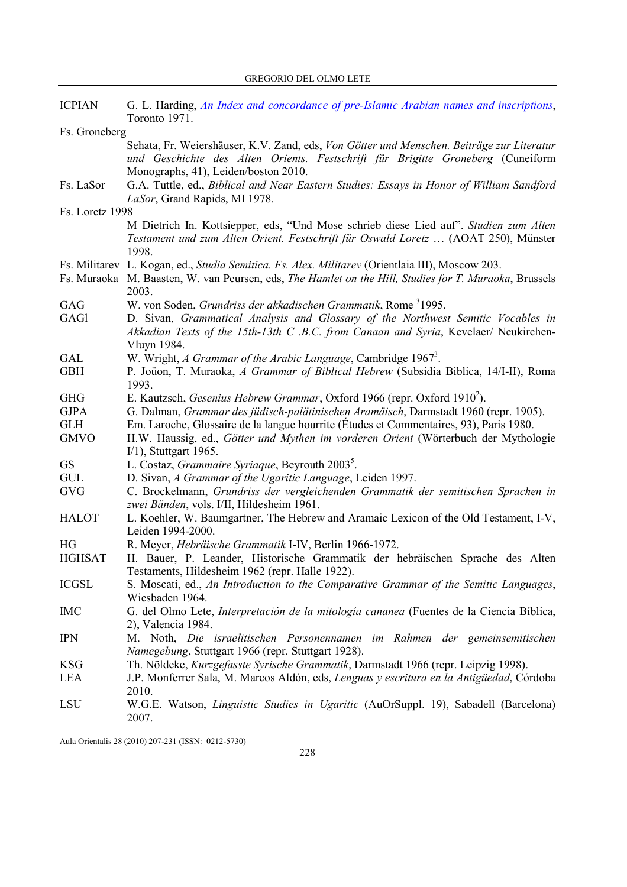| <b>ICPIAN</b>   | G. L. Harding, An Index and concordance of pre-Islamic Arabian names and inscriptions,                 |
|-----------------|--------------------------------------------------------------------------------------------------------|
|                 | Toronto 1971.                                                                                          |
| Fs. Groneberg   |                                                                                                        |
|                 | Sehata, Fr. Weiershäuser, K.V. Zand, eds, Von Götter und Menschen. Beiträge zur Literatur              |
|                 | und Geschichte des Alten Orients. Festschrift für Brigitte Groneberg (Cuneiform                        |
|                 | Monographs, 41), Leiden/boston 2010.                                                                   |
| Fs. LaSor       | G.A. Tuttle, ed., Biblical and Near Eastern Studies: Essays in Honor of William Sandford               |
|                 | LaSor, Grand Rapids, MI 1978.                                                                          |
| Fs. Loretz 1998 |                                                                                                        |
|                 | M Dietrich In. Kottsiepper, eds, "Und Mose schrieb diese Lied auf". Studien zum Alten                  |
|                 | Testament und zum Alten Orient. Festschrift für Oswald Loretz  (AOAT 250), Münster<br>1998.            |
|                 |                                                                                                        |
|                 | Fs. Militarev L. Kogan, ed., <i>Studia Semitica. Fs. Alex. Militarev</i> (Orientlaia III), Moscow 203. |
| Fs. Muraoka     | M. Baasten, W. van Peursen, eds, The Hamlet on the Hill, Studies for T. Muraoka, Brussels              |
|                 | 2003.                                                                                                  |
| GAG             | W. von Soden, Grundriss der akkadischen Grammatik, Rome 31995.                                         |
| <b>GAG1</b>     | D. Sivan, Grammatical Analysis and Glossary of the Northwest Semitic Vocables in                       |
|                 | Akkadian Texts of the 15th-13th C .B.C. from Canaan and Syria, Kevelaer/ Neukirchen-                   |
|                 | Vluyn 1984.                                                                                            |
| <b>GAL</b>      | W. Wright, A Grammar of the Arabic Language, Cambridge 1967 <sup>3</sup> .                             |
| <b>GBH</b>      | P. Joüon, T. Muraoka, A Grammar of Biblical Hebrew (Subsidia Biblica, 14/I-II), Roma                   |
|                 | 1993.                                                                                                  |
| <b>GHG</b>      | E. Kautzsch, Gesenius Hebrew Grammar, Oxford 1966 (repr. Oxford 1910 <sup>2</sup> ).                   |
| <b>GJPA</b>     | G. Dalman, Grammar des jüdisch-palätinischen Aramäisch, Darmstadt 1960 (repr. 1905).                   |
| <b>GLH</b>      | Em. Laroche, Glossaire de la langue hourrite (Études et Commentaires, 93), Paris 1980.                 |
| <b>GMVO</b>     | H.W. Haussig, ed., Götter und Mythen im vorderen Orient (Wörterbuch der Mythologie                     |
|                 | $I/1$ ), Stuttgart 1965.                                                                               |
| <b>GS</b>       | L. Costaz, Grammaire Syriaque, Beyrouth 2003 <sup>5</sup> .                                            |
| <b>GUL</b>      | D. Sivan, A Grammar of the Ugaritic Language, Leiden 1997.                                             |
| <b>GVG</b>      | C. Brockelmann, Grundriss der vergleichenden Grammatik der semitischen Sprachen in                     |
|                 | zwei Bänden, vols. I/II, Hildesheim 1961.                                                              |
| <b>HALOT</b>    | L. Koehler, W. Baumgartner, The Hebrew and Aramaic Lexicon of the Old Testament, I-V,                  |
|                 | Leiden 1994-2000.                                                                                      |
| HG              | R. Meyer, <i>Hebräische Grammatik</i> I-IV, Berlin 1966-1972.                                          |
| <b>HGHSAT</b>   | H. Bauer, P. Leander, Historische Grammatik der hebräischen Sprache des Alten                          |
|                 | Testaments, Hildesheim 1962 (repr. Halle 1922).                                                        |
| <b>ICGSL</b>    | S. Moscati, ed., An Introduction to the Comparative Grammar of the Semitic Languages,                  |
|                 | Wiesbaden 1964.                                                                                        |
| <b>IMC</b>      | G. del Olmo Lete, Interpretación de la mitología cananea (Fuentes de la Ciencia Bíblica,               |
|                 | 2), Valencia 1984.                                                                                     |
| <b>IPN</b>      | M. Noth, Die israelitischen Personennamen im Rahmen der gemeinsemitischen                              |
|                 | Namegebung, Stuttgart 1966 (repr. Stuttgart 1928).                                                     |
| <b>KSG</b>      | Th. Nöldeke, Kurzgefasste Syrische Grammatik, Darmstadt 1966 (repr. Leipzig 1998).                     |
| LEA             | J.P. Monferrer Sala, M. Marcos Aldón, eds, Lenguas y escritura en la Antigüedad, Córdoba               |
|                 | 2010.                                                                                                  |
| LSU             | W.G.E. Watson, <i>Linguistic Studies in Ugaritic</i> (AuOrSuppl. 19), Sabadell (Barcelona)             |
|                 | 2007.                                                                                                  |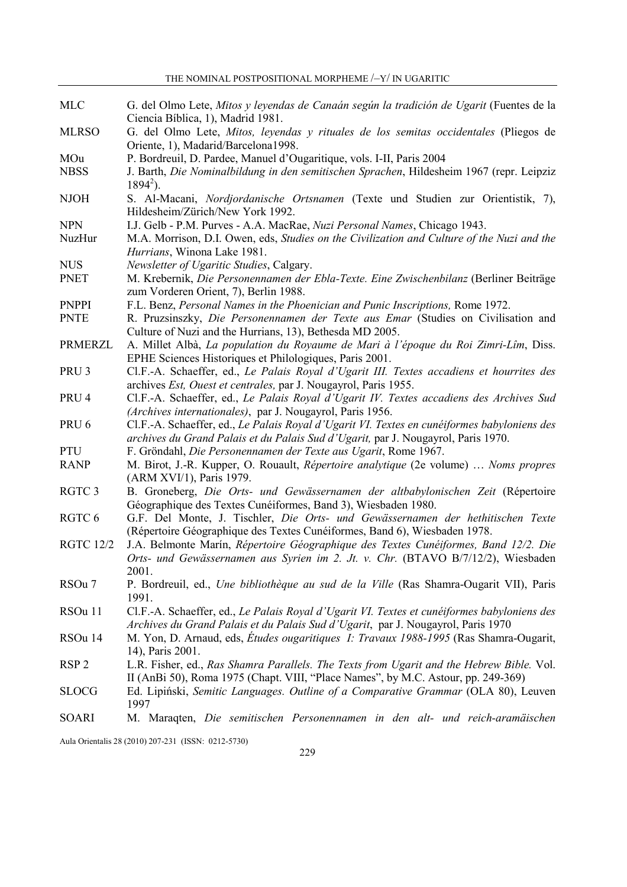| MLC              | G. del Olmo Lete, Mitos y leyendas de Canaán según la tradición de Ugarit (Fuentes de la      |
|------------------|-----------------------------------------------------------------------------------------------|
|                  | Ciencia Bíblica, 1), Madrid 1981.                                                             |
| <b>MLRSO</b>     | G. del Olmo Lete, Mitos, leyendas y rituales de los semitas occidentales (Pliegos de          |
|                  | Oriente, 1), Madarid/Barcelona1998.                                                           |
| MOu              | P. Bordreuil, D. Pardee, Manuel d'Ougaritique, vols. I-II, Paris 2004                         |
| <b>NBSS</b>      | J. Barth, Die Nominalbildung in den semitischen Sprachen, Hildesheim 1967 (repr. Leipziz      |
|                  | $1894^2$ ).                                                                                   |
| <b>NJOH</b>      | S. Al-Macani, Nordjordanische Ortsnamen (Texte und Studien zur Orientistik, 7),               |
|                  | Hildesheim/Zürich/New York 1992.                                                              |
| <b>NPN</b>       | I.J. Gelb - P.M. Purves - A.A. MacRae, Nuzi Personal Names, Chicago 1943.                     |
| NuzHur           | M.A. Morrison, D.I. Owen, eds, Studies on the Civilization and Culture of the Nuzi and the    |
|                  | Hurrians, Winona Lake 1981.                                                                   |
| <b>NUS</b>       | Newsletter of Ugaritic Studies, Calgary.                                                      |
| <b>PNET</b>      | M. Krebernik, Die Personennamen der Ebla-Texte. Eine Zwischenbilanz (Berliner Beiträge        |
|                  | zum Vorderen Orient, 7), Berlin 1988.                                                         |
| <b>PNPPI</b>     | F.L. Benz, Personal Names in the Phoenician and Punic Inscriptions, Rome 1972.                |
| <b>PNTE</b>      | R. Pruzsinszky, Die Personennamen der Texte aus Emar (Studies on Civilisation and             |
|                  | Culture of Nuzi and the Hurrians, 13), Bethesda MD 2005.                                      |
| <b>PRMERZL</b>   | A. Millet Albà, La population du Royaume de Mari à l'époque du Roi Zimri-Lîm, Diss.           |
|                  | EPHE Sciences Historiques et Philologiques, Paris 2001.                                       |
| PRU <sub>3</sub> | Cl.F.-A. Schaeffer, ed., Le Palais Royal d'Ugarit III. Textes accadiens et hourrites des      |
|                  | archives Est, Ouest et centrales, par J. Nougayrol, Paris 1955.                               |
| PRU <sub>4</sub> | Cl.F.-A. Schaeffer, ed., Le Palais Royal d'Ugarit IV. Textes accadiens des Archives Sud       |
|                  | (Archives internationales), par J. Nougayrol, Paris 1956.                                     |
| PRU <sub>6</sub> | Cl.F.-A. Schaeffer, ed., Le Palais Royal d'Ugarit VI. Textes en cunéiformes babyloniens des   |
|                  | archives du Grand Palais et du Palais Sud d'Ugarit, par J. Nougayrol, Paris 1970.             |
| PTU              | F. Gröndahl, Die Personennamen der Texte aus Ugarit, Rome 1967.                               |
| <b>RANP</b>      | M. Birot, J.-R. Kupper, O. Rouault, Répertoire analytique (2e volume)  Noms propres           |
|                  | (ARM XVI/1), Paris 1979.                                                                      |
| RGTC 3           | B. Groneberg, Die Orts- und Gewässernamen der altbabylonischen Zeit (Répertoire               |
|                  | Géographique des Textes Cunéiformes, Band 3), Wiesbaden 1980.                                 |
| RGTC 6           | G.F. Del Monte, J. Tischler, Die Orts- und Gewässernamen der hethitischen Texte               |
|                  | (Répertoire Géographique des Textes Cunéiformes, Band 6), Wiesbaden 1978.                     |
| <b>RGTC 12/2</b> | J.A. Belmonte Marín, Répertoire Géographique des Textes Cunéiformes, Band 12/2. Die           |
|                  | Orts- und Gewässernamen aus Syrien im 2. Jt. v. Chr. (BTAVO B/7/12/2), Wiesbaden              |
|                  | 2001                                                                                          |
| RSOu 7           | P. Bordreuil, ed., <i>Une bibliothèque au sud de la Ville</i> (Ras Shamra-Ougarit VII), Paris |
|                  |                                                                                               |
| RSOu 11          | 1991.                                                                                         |
|                  | Cl.F.-A. Schaeffer, ed., Le Palais Royal d'Ugarit VI. Textes et cunéiformes babyloniens des   |
|                  | Archives du Grand Palais et du Palais Sud d'Ugarit, par J. Nougayrol, Paris 1970              |
| RSOu 14          | M. Yon, D. Arnaud, eds, Études ougaritiques I: Travaux 1988-1995 (Ras Shamra-Ougarit,         |
|                  | 14), Paris 2001.                                                                              |
| RSP <sub>2</sub> | L.R. Fisher, ed., Ras Shamra Parallels. The Texts from Ugarit and the Hebrew Bible. Vol.      |
|                  | II (AnBi 50), Roma 1975 (Chapt. VIII, "Place Names", by M.C. Astour, pp. 249-369)             |
| <b>SLOCG</b>     | Ed. Lipiński, Semitic Languages. Outline of a Comparative Grammar (OLA 80), Leuven            |
|                  | 1997                                                                                          |
| <b>SOARI</b>     | M. Maraqten, Die semitischen Personennamen in den alt- und reich-aramäischen                  |
|                  |                                                                                               |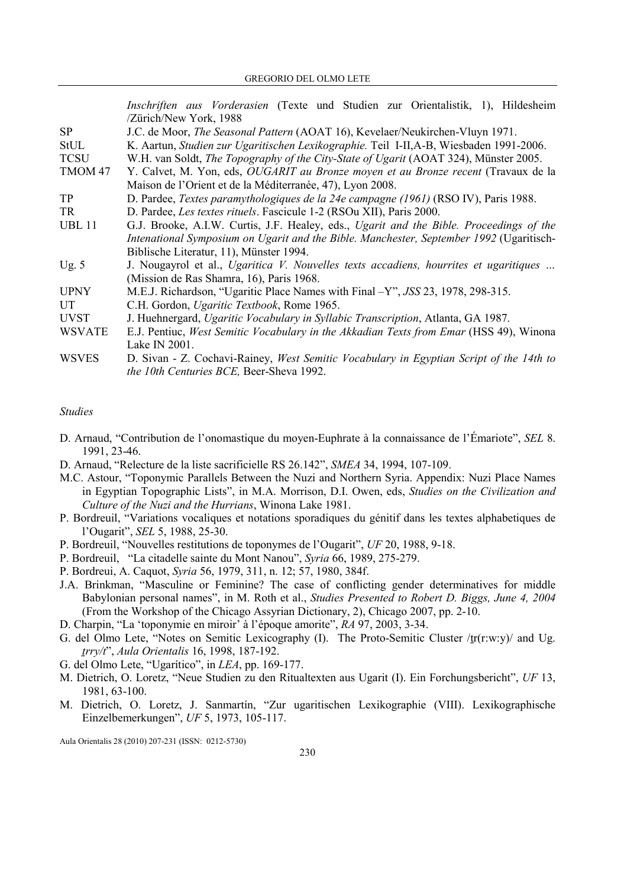Inschriften aus Vorderasien (Texte und Studien zur Orientalistik, 1), Hildesheim /Zürich/New York, 1988 SP J.C. de Moor, The Seasonal Pattern (AOAT 16), Kevelaer/Neukirchen-Vluyn 1971. StUL K. Aartun, Studien zur Ugaritischen Lexikographie. Teil I-II,A-B, Wiesbaden 1991-2006. TCSU W.H. van Soldt, The Topography of the City-State of Ugarit (AOAT 324), Münster 2005. TMOM 47 Y. Calvet, M. Yon, eds, OUGARIT au Bronze moyen et au Bronze recent (Travaux de la Maison de l'Orient et de la Méditerranée, 47), Lyon 2008. TP D. Pardee, Textes paramythologiques de la 24e campagne (1961) (RSO IV), Paris 1988. TR D. Pardee, Les textes rituels. Fascicule 1-2 (RSOu XII), Paris 2000. UBL 11 G.J. Brooke, A.I.W. Curtis, J.F. Healey, eds., *Ugarit and the Bible. Proceedings of the* Intenational Symposium on Ugarit and the Bible. Manchester, September 1992 (Ugaritisch-Biblische Literatur, 11), Münster 1994. Ug. 5 J. Nougayrol et al., Ugaritica V. Nouvelles texts accadiens, hourrites et ugaritiques ... (Mission de Ras Shamra, 16), Paris 1968. UPNY M.E.J. Richardson, "Ugaritic Place Names with Final –Y", JSS 23, 1978, 298-315. UT C.H. Gordon, Ugaritic Textbook, Rome 1965. UVST J. Huehnergard, Ugaritic Vocabulary in Syllabic Transcription, Atlanta, GA 1987. WSVATE E.J. Pentiuc, West Semitic Vocabulary in the Akkadian Texts from Emar (HSS 49), Winona Lake IN 2001. WSVES D. Sivan - Z. Cochavi-Rainey, West Semitic Vocabulary in Egyptian Script of the 14th to the 10th Centuries BCE, Beer-Sheva 1992.

### Studies

- D. Arnaud, "Contribution de l'onomastique du moyen-Euphrate à la connaissance de l'Émariote", SEL 8. 1991, 23-46.
- D. Arnaud, "Relecture de la liste sacrificielle RS 26.142", SMEA 34, 1994, 107-109.
- M.C. Astour, "Toponymic Parallels Between the Nuzi and Northern Syria. Appendix: Nuzi Place Names in Egyptian Topographic Lists", in M.A. Morrison, D.I. Owen, eds, Studies on the Civilization and Culture of the Nuzi and the Hurrians, Winona Lake 1981.
- P. Bordreuil, "Variations vocaliques et notations sporadiques du génitif dans les textes alphabetiques de l'Ougarit", SEL 5, 1988, 25-30.
- P. Bordreuil, "Nouvelles restitutions de toponymes de l'Ougarit", UF 20, 1988, 9-18.
- P. Bordreuil, "La citadelle sainte du Mont Nanou", Syria 66, 1989, 275-279.
- P. Bordreui, A. Caquot, Syria 56, 1979, 311, n. 12; 57, 1980, 384f.
- J.A. Brinkman, "Masculine or Feminine? The case of conflicting gender determinatives for middle Babylonian personal names", in M. Roth et al., Studies Presented to Robert D. Biggs, June 4, 2004 (From the Workshop of the Chicago Assyrian Dictionary, 2), Chicago 2007, pp. 2-10.
- D. Charpin, "La 'toponymie en miroir' à l'époque amorite", RA 97, 2003, 3-34.
- G. del Olmo Lete, "Notes on Semitic Lexicography (I). The Proto-Semitic Cluster /tr(r:w:y)/ and Ug. ṯrry/t", Aula Orientalis 16, 1998, 187-192.
- G. del Olmo Lete, "Ugarítico", in LEA, pp. 169-177.
- M. Dietrich, O. Loretz, "Neue Studien zu den Ritualtexten aus Ugarit (I). Ein Forchungsbericht", UF 13, 1981, 63-100.
- M. Dietrich, O. Loretz, J. Sanmartín, "Zur ugaritischen Lexikographie (VIII). Lexikographische Einzelbemerkungen", UF 5, 1973, 105-117.